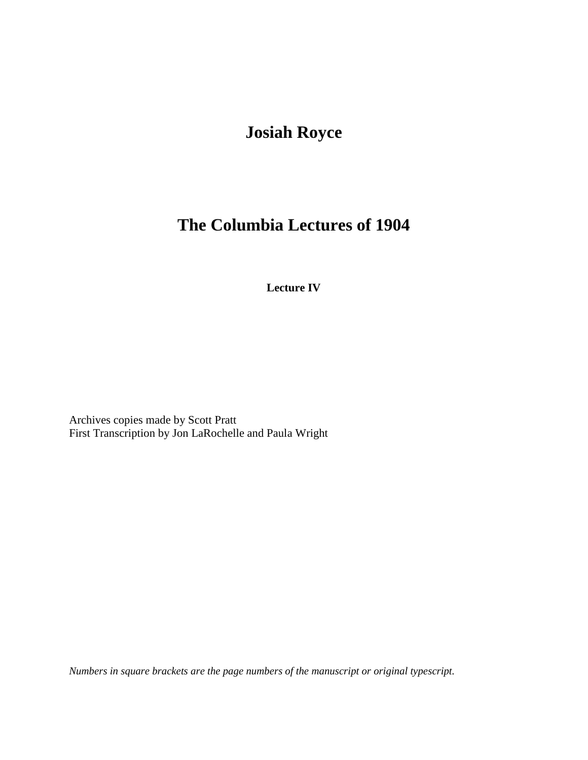## **Josiah Royce**

## **The Columbia Lectures of 1904**

**Lecture IV**

Archives copies made by Scott Pratt First Transcription by Jon LaRochelle and Paula Wright

*Numbers in square brackets are the page numbers of the manuscript or original typescript.*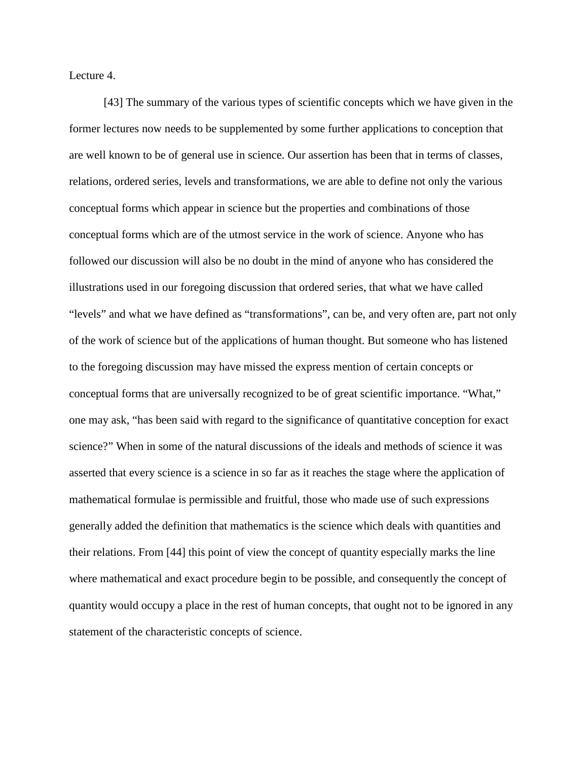Lecture 4.

[43] The summary of the various types of scientific concepts which we have given in the former lectures now needs to be supplemented by some further applications to conception that are well known to be of general use in science. Our assertion has been that in terms of classes, relations, ordered series, levels and transformations, we are able to define not only the various conceptual forms which appear in science but the properties and combinations of those conceptual forms which are of the utmost service in the work of science. Anyone who has followed our discussion will also be no doubt in the mind of anyone who has considered the illustrations used in our foregoing discussion that ordered series, that what we have called "levels" and what we have defined as "transformations", can be, and very often are, part not only of the work of science but of the applications of human thought. But someone who has listened to the foregoing discussion may have missed the express mention of certain concepts or conceptual forms that are universally recognized to be of great scientific importance. "What," one may ask, "has been said with regard to the significance of quantitative conception for exact science?" When in some of the natural discussions of the ideals and methods of science it was asserted that every science is a science in so far as it reaches the stage where the application of mathematical formulae is permissible and fruitful, those who made use of such expressions generally added the definition that mathematics is the science which deals with quantities and their relations. From [44] this point of view the concept of quantity especially marks the line where mathematical and exact procedure begin to be possible, and consequently the concept of quantity would occupy a place in the rest of human concepts, that ought not to be ignored in any statement of the characteristic concepts of science.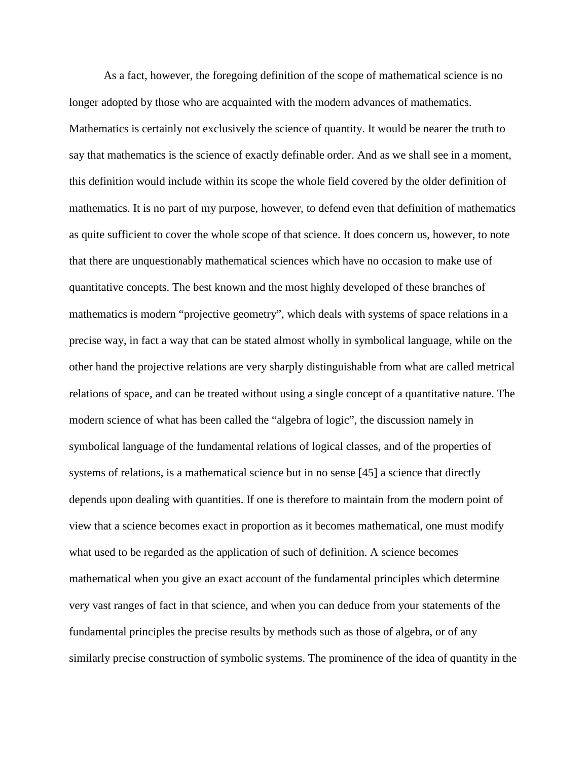As a fact, however, the foregoing definition of the scope of mathematical science is no longer adopted by those who are acquainted with the modern advances of mathematics. Mathematics is certainly not exclusively the science of quantity. It would be nearer the truth to say that mathematics is the science of exactly definable order. And as we shall see in a moment, this definition would include within its scope the whole field covered by the older definition of mathematics. It is no part of my purpose, however, to defend even that definition of mathematics as quite sufficient to cover the whole scope of that science. It does concern us, however, to note that there are unquestionably mathematical sciences which have no occasion to make use of quantitative concepts. The best known and the most highly developed of these branches of mathematics is modern "projective geometry", which deals with systems of space relations in a precise way, in fact a way that can be stated almost wholly in symbolical language, while on the other hand the projective relations are very sharply distinguishable from what are called metrical relations of space, and can be treated without using a single concept of a quantitative nature. The modern science of what has been called the "algebra of logic", the discussion namely in symbolical language of the fundamental relations of logical classes, and of the properties of systems of relations, is a mathematical science but in no sense [45] a science that directly depends upon dealing with quantities. If one is therefore to maintain from the modern point of view that a science becomes exact in proportion as it becomes mathematical, one must modify what used to be regarded as the application of such of definition. A science becomes mathematical when you give an exact account of the fundamental principles which determine very vast ranges of fact in that science, and when you can deduce from your statements of the fundamental principles the precise results by methods such as those of algebra, or of any similarly precise construction of symbolic systems. The prominence of the idea of quantity in the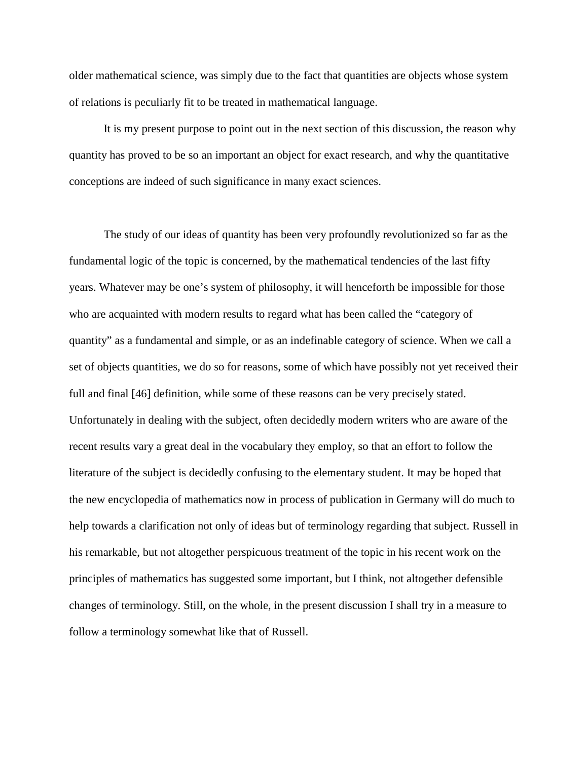older mathematical science, was simply due to the fact that quantities are objects whose system of relations is peculiarly fit to be treated in mathematical language.

It is my present purpose to point out in the next section of this discussion, the reason why quantity has proved to be so an important an object for exact research, and why the quantitative conceptions are indeed of such significance in many exact sciences.

The study of our ideas of quantity has been very profoundly revolutionized so far as the fundamental logic of the topic is concerned, by the mathematical tendencies of the last fifty years. Whatever may be one's system of philosophy, it will henceforth be impossible for those who are acquainted with modern results to regard what has been called the "category of quantity" as a fundamental and simple, or as an indefinable category of science. When we call a set of objects quantities, we do so for reasons, some of which have possibly not yet received their full and final [46] definition, while some of these reasons can be very precisely stated. Unfortunately in dealing with the subject, often decidedly modern writers who are aware of the recent results vary a great deal in the vocabulary they employ, so that an effort to follow the literature of the subject is decidedly confusing to the elementary student. It may be hoped that the new encyclopedia of mathematics now in process of publication in Germany will do much to help towards a clarification not only of ideas but of terminology regarding that subject. Russell in his remarkable, but not altogether perspicuous treatment of the topic in his recent work on the principles of mathematics has suggested some important, but I think, not altogether defensible changes of terminology. Still, on the whole, in the present discussion I shall try in a measure to follow a terminology somewhat like that of Russell.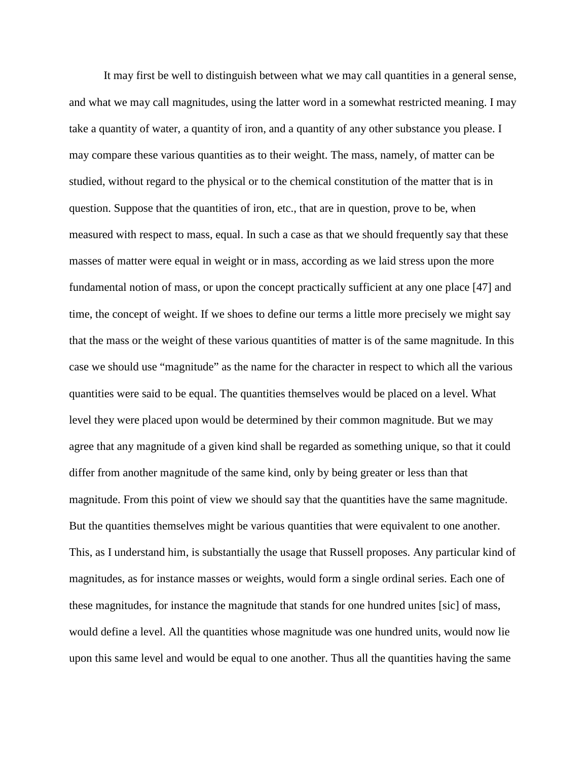It may first be well to distinguish between what we may call quantities in a general sense, and what we may call magnitudes, using the latter word in a somewhat restricted meaning. I may take a quantity of water, a quantity of iron, and a quantity of any other substance you please. I may compare these various quantities as to their weight. The mass, namely, of matter can be studied, without regard to the physical or to the chemical constitution of the matter that is in question. Suppose that the quantities of iron, etc., that are in question, prove to be, when measured with respect to mass, equal. In such a case as that we should frequently say that these masses of matter were equal in weight or in mass, according as we laid stress upon the more fundamental notion of mass, or upon the concept practically sufficient at any one place [47] and time, the concept of weight. If we shoes to define our terms a little more precisely we might say that the mass or the weight of these various quantities of matter is of the same magnitude. In this case we should use "magnitude" as the name for the character in respect to which all the various quantities were said to be equal. The quantities themselves would be placed on a level. What level they were placed upon would be determined by their common magnitude. But we may agree that any magnitude of a given kind shall be regarded as something unique, so that it could differ from another magnitude of the same kind, only by being greater or less than that magnitude. From this point of view we should say that the quantities have the same magnitude. But the quantities themselves might be various quantities that were equivalent to one another. This, as I understand him, is substantially the usage that Russell proposes. Any particular kind of magnitudes, as for instance masses or weights, would form a single ordinal series. Each one of these magnitudes, for instance the magnitude that stands for one hundred unites [sic] of mass, would define a level. All the quantities whose magnitude was one hundred units, would now lie upon this same level and would be equal to one another. Thus all the quantities having the same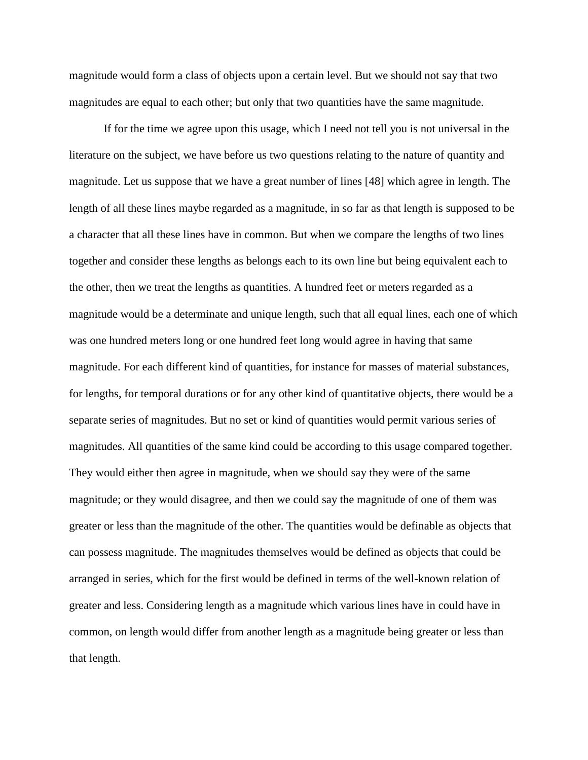magnitude would form a class of objects upon a certain level. But we should not say that two magnitudes are equal to each other; but only that two quantities have the same magnitude.

If for the time we agree upon this usage, which I need not tell you is not universal in the literature on the subject, we have before us two questions relating to the nature of quantity and magnitude. Let us suppose that we have a great number of lines [48] which agree in length. The length of all these lines maybe regarded as a magnitude, in so far as that length is supposed to be a character that all these lines have in common. But when we compare the lengths of two lines together and consider these lengths as belongs each to its own line but being equivalent each to the other, then we treat the lengths as quantities. A hundred feet or meters regarded as a magnitude would be a determinate and unique length, such that all equal lines, each one of which was one hundred meters long or one hundred feet long would agree in having that same magnitude. For each different kind of quantities, for instance for masses of material substances, for lengths, for temporal durations or for any other kind of quantitative objects, there would be a separate series of magnitudes. But no set or kind of quantities would permit various series of magnitudes. All quantities of the same kind could be according to this usage compared together. They would either then agree in magnitude, when we should say they were of the same magnitude; or they would disagree, and then we could say the magnitude of one of them was greater or less than the magnitude of the other. The quantities would be definable as objects that can possess magnitude. The magnitudes themselves would be defined as objects that could be arranged in series, which for the first would be defined in terms of the well-known relation of greater and less. Considering length as a magnitude which various lines have in could have in common, on length would differ from another length as a magnitude being greater or less than that length.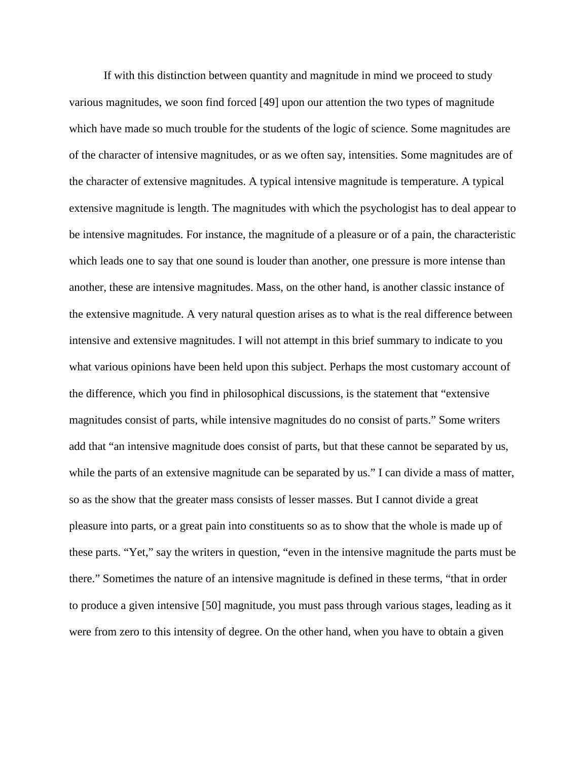If with this distinction between quantity and magnitude in mind we proceed to study various magnitudes, we soon find forced [49] upon our attention the two types of magnitude which have made so much trouble for the students of the logic of science. Some magnitudes are of the character of intensive magnitudes, or as we often say, intensities. Some magnitudes are of the character of extensive magnitudes. A typical intensive magnitude is temperature. A typical extensive magnitude is length. The magnitudes with which the psychologist has to deal appear to be intensive magnitudes. For instance, the magnitude of a pleasure or of a pain, the characteristic which leads one to say that one sound is louder than another, one pressure is more intense than another, these are intensive magnitudes. Mass, on the other hand, is another classic instance of the extensive magnitude. A very natural question arises as to what is the real difference between intensive and extensive magnitudes. I will not attempt in this brief summary to indicate to you what various opinions have been held upon this subject. Perhaps the most customary account of the difference, which you find in philosophical discussions, is the statement that "extensive magnitudes consist of parts, while intensive magnitudes do no consist of parts." Some writers add that "an intensive magnitude does consist of parts, but that these cannot be separated by us, while the parts of an extensive magnitude can be separated by us." I can divide a mass of matter, so as the show that the greater mass consists of lesser masses. But I cannot divide a great pleasure into parts, or a great pain into constituents so as to show that the whole is made up of these parts. "Yet," say the writers in question, "even in the intensive magnitude the parts must be there." Sometimes the nature of an intensive magnitude is defined in these terms, "that in order to produce a given intensive [50] magnitude, you must pass through various stages, leading as it were from zero to this intensity of degree. On the other hand, when you have to obtain a given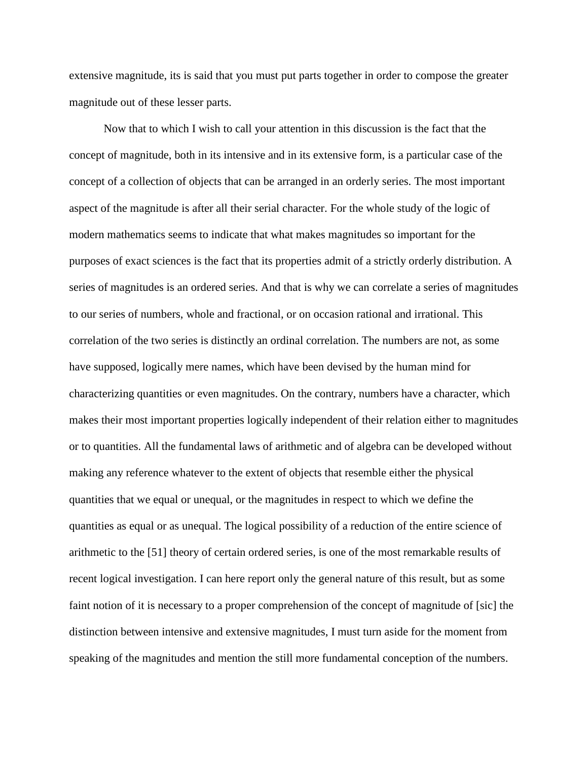extensive magnitude, its is said that you must put parts together in order to compose the greater magnitude out of these lesser parts.

Now that to which I wish to call your attention in this discussion is the fact that the concept of magnitude, both in its intensive and in its extensive form, is a particular case of the concept of a collection of objects that can be arranged in an orderly series. The most important aspect of the magnitude is after all their serial character. For the whole study of the logic of modern mathematics seems to indicate that what makes magnitudes so important for the purposes of exact sciences is the fact that its properties admit of a strictly orderly distribution. A series of magnitudes is an ordered series. And that is why we can correlate a series of magnitudes to our series of numbers, whole and fractional, or on occasion rational and irrational. This correlation of the two series is distinctly an ordinal correlation. The numbers are not, as some have supposed, logically mere names, which have been devised by the human mind for characterizing quantities or even magnitudes. On the contrary, numbers have a character, which makes their most important properties logically independent of their relation either to magnitudes or to quantities. All the fundamental laws of arithmetic and of algebra can be developed without making any reference whatever to the extent of objects that resemble either the physical quantities that we equal or unequal, or the magnitudes in respect to which we define the quantities as equal or as unequal. The logical possibility of a reduction of the entire science of arithmetic to the [51] theory of certain ordered series, is one of the most remarkable results of recent logical investigation. I can here report only the general nature of this result, but as some faint notion of it is necessary to a proper comprehension of the concept of magnitude of [sic] the distinction between intensive and extensive magnitudes, I must turn aside for the moment from speaking of the magnitudes and mention the still more fundamental conception of the numbers.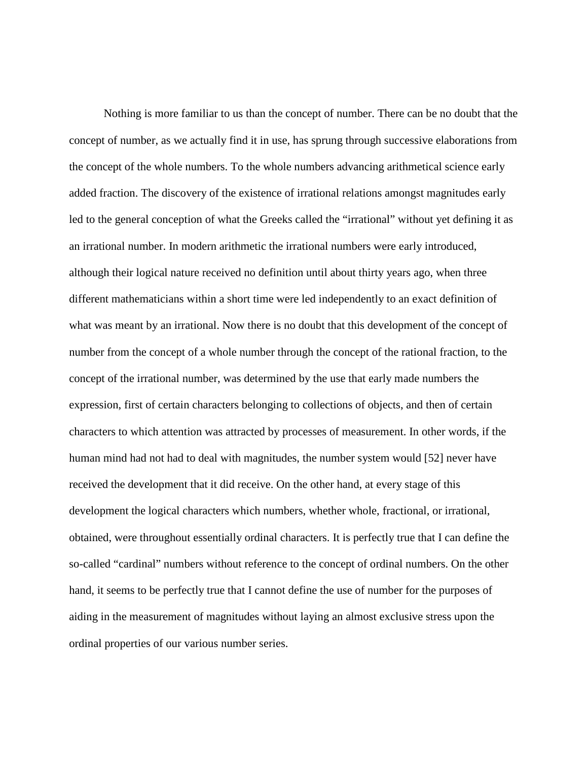Nothing is more familiar to us than the concept of number. There can be no doubt that the concept of number, as we actually find it in use, has sprung through successive elaborations from the concept of the whole numbers. To the whole numbers advancing arithmetical science early added fraction. The discovery of the existence of irrational relations amongst magnitudes early led to the general conception of what the Greeks called the "irrational" without yet defining it as an irrational number. In modern arithmetic the irrational numbers were early introduced, although their logical nature received no definition until about thirty years ago, when three different mathematicians within a short time were led independently to an exact definition of what was meant by an irrational. Now there is no doubt that this development of the concept of number from the concept of a whole number through the concept of the rational fraction, to the concept of the irrational number, was determined by the use that early made numbers the expression, first of certain characters belonging to collections of objects, and then of certain characters to which attention was attracted by processes of measurement. In other words, if the human mind had not had to deal with magnitudes, the number system would [52] never have received the development that it did receive. On the other hand, at every stage of this development the logical characters which numbers, whether whole, fractional, or irrational, obtained, were throughout essentially ordinal characters. It is perfectly true that I can define the so-called "cardinal" numbers without reference to the concept of ordinal numbers. On the other hand, it seems to be perfectly true that I cannot define the use of number for the purposes of aiding in the measurement of magnitudes without laying an almost exclusive stress upon the ordinal properties of our various number series.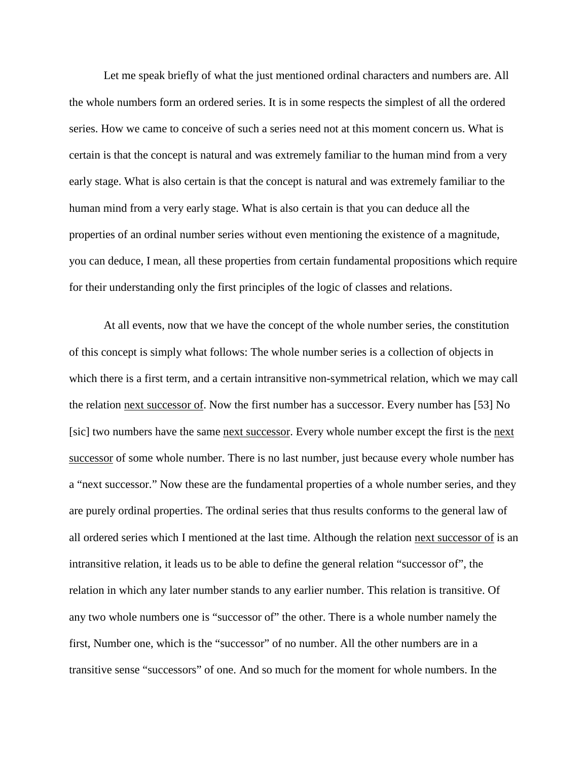Let me speak briefly of what the just mentioned ordinal characters and numbers are. All the whole numbers form an ordered series. It is in some respects the simplest of all the ordered series. How we came to conceive of such a series need not at this moment concern us. What is certain is that the concept is natural and was extremely familiar to the human mind from a very early stage. What is also certain is that the concept is natural and was extremely familiar to the human mind from a very early stage. What is also certain is that you can deduce all the properties of an ordinal number series without even mentioning the existence of a magnitude, you can deduce, I mean, all these properties from certain fundamental propositions which require for their understanding only the first principles of the logic of classes and relations.

At all events, now that we have the concept of the whole number series, the constitution of this concept is simply what follows: The whole number series is a collection of objects in which there is a first term, and a certain intransitive non-symmetrical relation, which we may call the relation <u>next successor of</u>. Now the first number has a successor. Every number has [53] No [sic] two numbers have the same next successor. Every whole number except the first is the next successor of some whole number. There is no last number, just because every whole number has a "next successor." Now these are the fundamental properties of a whole number series, and they are purely ordinal properties. The ordinal series that thus results conforms to the general law of all ordered series which I mentioned at the last time. Although the relation next successor of is an intransitive relation, it leads us to be able to define the general relation "successor of", the relation in which any later number stands to any earlier number. This relation is transitive. Of any two whole numbers one is "successor of" the other. There is a whole number namely the first, Number one, which is the "successor" of no number. All the other numbers are in a transitive sense "successors" of one. And so much for the moment for whole numbers. In the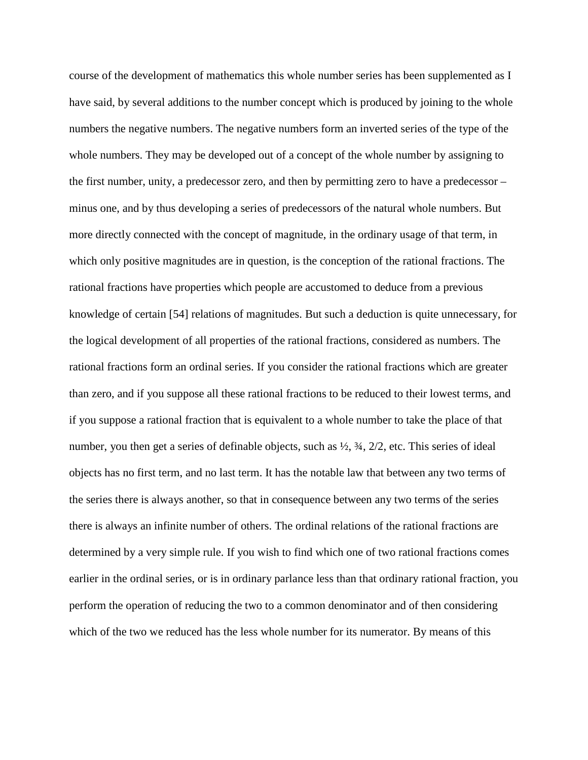course of the development of mathematics this whole number series has been supplemented as I have said, by several additions to the number concept which is produced by joining to the whole numbers the negative numbers. The negative numbers form an inverted series of the type of the whole numbers. They may be developed out of a concept of the whole number by assigning to the first number, unity, a predecessor zero, and then by permitting zero to have a predecessor – minus one, and by thus developing a series of predecessors of the natural whole numbers. But more directly connected with the concept of magnitude, in the ordinary usage of that term, in which only positive magnitudes are in question, is the conception of the rational fractions. The rational fractions have properties which people are accustomed to deduce from a previous knowledge of certain [54] relations of magnitudes. But such a deduction is quite unnecessary, for the logical development of all properties of the rational fractions, considered as numbers. The rational fractions form an ordinal series. If you consider the rational fractions which are greater than zero, and if you suppose all these rational fractions to be reduced to their lowest terms, and if you suppose a rational fraction that is equivalent to a whole number to take the place of that number, you then get a series of definable objects, such as ½, ¾, 2/2, etc. This series of ideal objects has no first term, and no last term. It has the notable law that between any two terms of the series there is always another, so that in consequence between any two terms of the series there is always an infinite number of others. The ordinal relations of the rational fractions are determined by a very simple rule. If you wish to find which one of two rational fractions comes earlier in the ordinal series, or is in ordinary parlance less than that ordinary rational fraction, you perform the operation of reducing the two to a common denominator and of then considering which of the two we reduced has the less whole number for its numerator. By means of this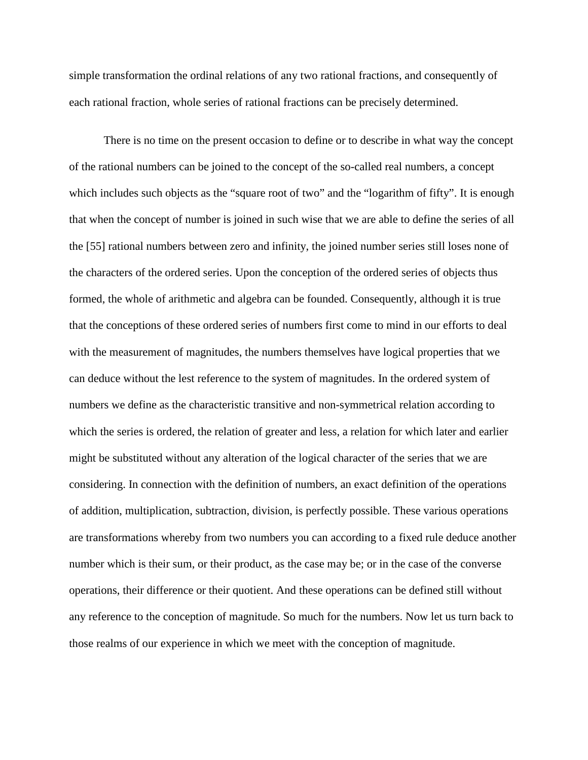simple transformation the ordinal relations of any two rational fractions, and consequently of each rational fraction, whole series of rational fractions can be precisely determined.

There is no time on the present occasion to define or to describe in what way the concept of the rational numbers can be joined to the concept of the so-called real numbers, a concept which includes such objects as the "square root of two" and the "logarithm of fifty". It is enough that when the concept of number is joined in such wise that we are able to define the series of all the [55] rational numbers between zero and infinity, the joined number series still loses none of the characters of the ordered series. Upon the conception of the ordered series of objects thus formed, the whole of arithmetic and algebra can be founded. Consequently, although it is true that the conceptions of these ordered series of numbers first come to mind in our efforts to deal with the measurement of magnitudes, the numbers themselves have logical properties that we can deduce without the lest reference to the system of magnitudes. In the ordered system of numbers we define as the characteristic transitive and non-symmetrical relation according to which the series is ordered, the relation of greater and less, a relation for which later and earlier might be substituted without any alteration of the logical character of the series that we are considering. In connection with the definition of numbers, an exact definition of the operations of addition, multiplication, subtraction, division, is perfectly possible. These various operations are transformations whereby from two numbers you can according to a fixed rule deduce another number which is their sum, or their product, as the case may be; or in the case of the converse operations, their difference or their quotient. And these operations can be defined still without any reference to the conception of magnitude. So much for the numbers. Now let us turn back to those realms of our experience in which we meet with the conception of magnitude.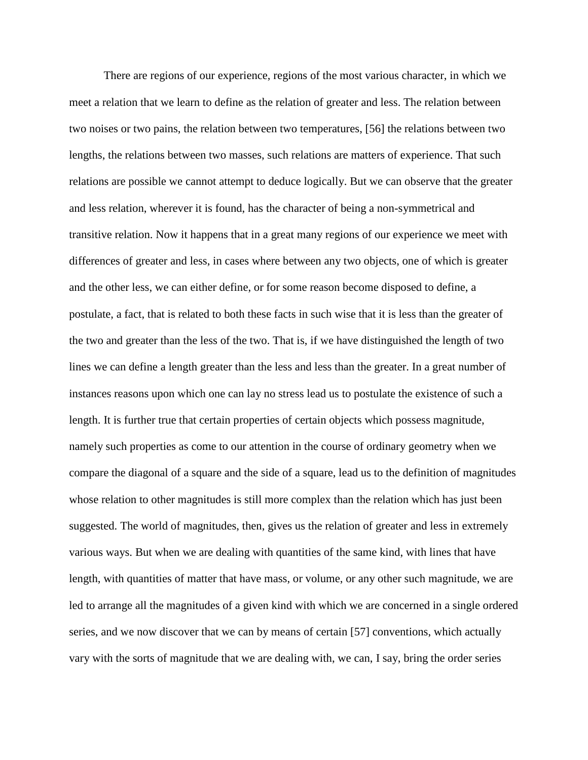There are regions of our experience, regions of the most various character, in which we meet a relation that we learn to define as the relation of greater and less. The relation between two noises or two pains, the relation between two temperatures, [56] the relations between two lengths, the relations between two masses, such relations are matters of experience. That such relations are possible we cannot attempt to deduce logically. But we can observe that the greater and less relation, wherever it is found, has the character of being a non-symmetrical and transitive relation. Now it happens that in a great many regions of our experience we meet with differences of greater and less, in cases where between any two objects, one of which is greater and the other less, we can either define, or for some reason become disposed to define, a postulate, a fact, that is related to both these facts in such wise that it is less than the greater of the two and greater than the less of the two. That is, if we have distinguished the length of two lines we can define a length greater than the less and less than the greater. In a great number of instances reasons upon which one can lay no stress lead us to postulate the existence of such a length. It is further true that certain properties of certain objects which possess magnitude, namely such properties as come to our attention in the course of ordinary geometry when we compare the diagonal of a square and the side of a square, lead us to the definition of magnitudes whose relation to other magnitudes is still more complex than the relation which has just been suggested. The world of magnitudes, then, gives us the relation of greater and less in extremely various ways. But when we are dealing with quantities of the same kind, with lines that have length, with quantities of matter that have mass, or volume, or any other such magnitude, we are led to arrange all the magnitudes of a given kind with which we are concerned in a single ordered series, and we now discover that we can by means of certain [57] conventions, which actually vary with the sorts of magnitude that we are dealing with, we can, I say, bring the order series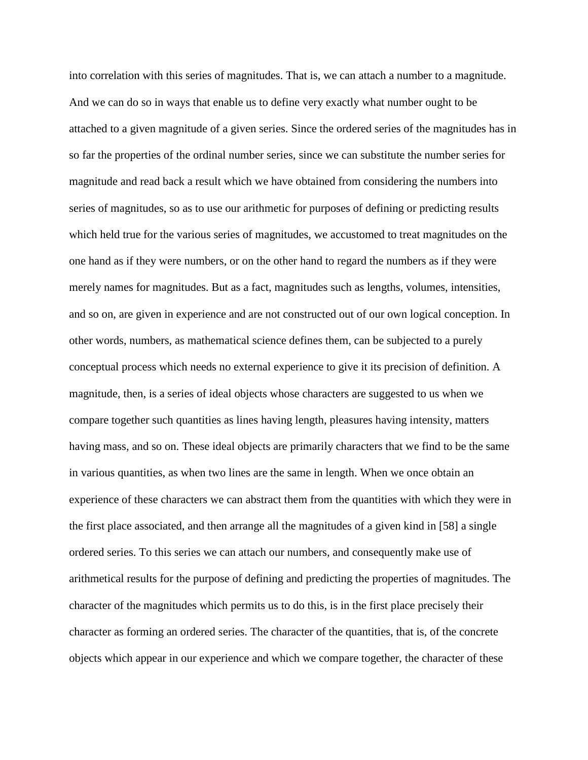into correlation with this series of magnitudes. That is, we can attach a number to a magnitude. And we can do so in ways that enable us to define very exactly what number ought to be attached to a given magnitude of a given series. Since the ordered series of the magnitudes has in so far the properties of the ordinal number series, since we can substitute the number series for magnitude and read back a result which we have obtained from considering the numbers into series of magnitudes, so as to use our arithmetic for purposes of defining or predicting results which held true for the various series of magnitudes, we accustomed to treat magnitudes on the one hand as if they were numbers, or on the other hand to regard the numbers as if they were merely names for magnitudes. But as a fact, magnitudes such as lengths, volumes, intensities, and so on, are given in experience and are not constructed out of our own logical conception. In other words, numbers, as mathematical science defines them, can be subjected to a purely conceptual process which needs no external experience to give it its precision of definition. A magnitude, then, is a series of ideal objects whose characters are suggested to us when we compare together such quantities as lines having length, pleasures having intensity, matters having mass, and so on. These ideal objects are primarily characters that we find to be the same in various quantities, as when two lines are the same in length. When we once obtain an experience of these characters we can abstract them from the quantities with which they were in the first place associated, and then arrange all the magnitudes of a given kind in [58] a single ordered series. To this series we can attach our numbers, and consequently make use of arithmetical results for the purpose of defining and predicting the properties of magnitudes. The character of the magnitudes which permits us to do this, is in the first place precisely their character as forming an ordered series. The character of the quantities, that is, of the concrete objects which appear in our experience and which we compare together, the character of these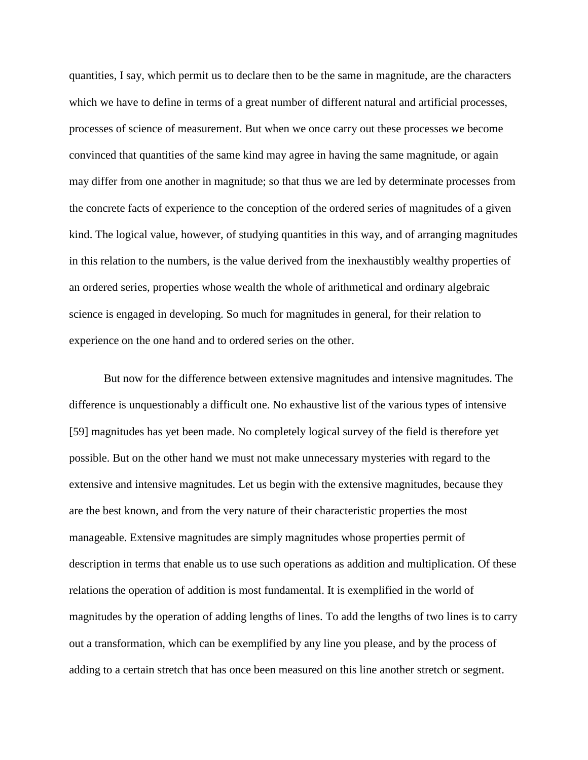quantities, I say, which permit us to declare then to be the same in magnitude, are the characters which we have to define in terms of a great number of different natural and artificial processes, processes of science of measurement. But when we once carry out these processes we become convinced that quantities of the same kind may agree in having the same magnitude, or again may differ from one another in magnitude; so that thus we are led by determinate processes from the concrete facts of experience to the conception of the ordered series of magnitudes of a given kind. The logical value, however, of studying quantities in this way, and of arranging magnitudes in this relation to the numbers, is the value derived from the inexhaustibly wealthy properties of an ordered series, properties whose wealth the whole of arithmetical and ordinary algebraic science is engaged in developing. So much for magnitudes in general, for their relation to experience on the one hand and to ordered series on the other.

But now for the difference between extensive magnitudes and intensive magnitudes. The difference is unquestionably a difficult one. No exhaustive list of the various types of intensive [59] magnitudes has yet been made. No completely logical survey of the field is therefore yet possible. But on the other hand we must not make unnecessary mysteries with regard to the extensive and intensive magnitudes. Let us begin with the extensive magnitudes, because they are the best known, and from the very nature of their characteristic properties the most manageable. Extensive magnitudes are simply magnitudes whose properties permit of description in terms that enable us to use such operations as addition and multiplication. Of these relations the operation of addition is most fundamental. It is exemplified in the world of magnitudes by the operation of adding lengths of lines. To add the lengths of two lines is to carry out a transformation, which can be exemplified by any line you please, and by the process of adding to a certain stretch that has once been measured on this line another stretch or segment.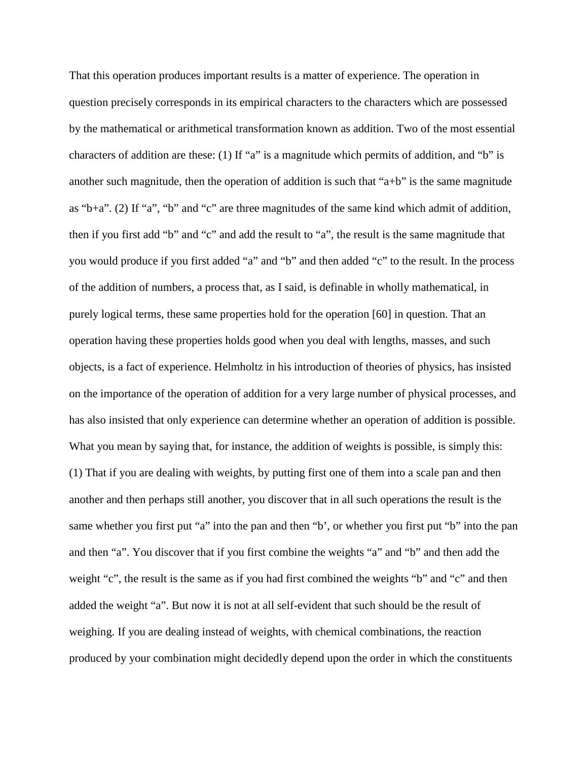That this operation produces important results is a matter of experience. The operation in question precisely corresponds in its empirical characters to the characters which are possessed by the mathematical or arithmetical transformation known as addition. Two of the most essential characters of addition are these: (1) If "a" is a magnitude which permits of addition, and "b" is another such magnitude, then the operation of addition is such that " $a+b$ " is the same magnitude as "b+a". (2) If "a", "b" and "c" are three magnitudes of the same kind which admit of addition, then if you first add "b" and "c" and add the result to "a", the result is the same magnitude that you would produce if you first added "a" and "b" and then added "c" to the result. In the process of the addition of numbers, a process that, as I said, is definable in wholly mathematical, in purely logical terms, these same properties hold for the operation [60] in question. That an operation having these properties holds good when you deal with lengths, masses, and such objects, is a fact of experience. Helmholtz in his introduction of theories of physics, has insisted on the importance of the operation of addition for a very large number of physical processes, and has also insisted that only experience can determine whether an operation of addition is possible. What you mean by saying that, for instance, the addition of weights is possible, is simply this: (1) That if you are dealing with weights, by putting first one of them into a scale pan and then another and then perhaps still another, you discover that in all such operations the result is the same whether you first put "a" into the pan and then "b', or whether you first put "b" into the pan and then "a". You discover that if you first combine the weights "a" and "b" and then add the weight "c", the result is the same as if you had first combined the weights "b" and "c" and then added the weight "a". But now it is not at all self-evident that such should be the result of weighing. If you are dealing instead of weights, with chemical combinations, the reaction produced by your combination might decidedly depend upon the order in which the constituents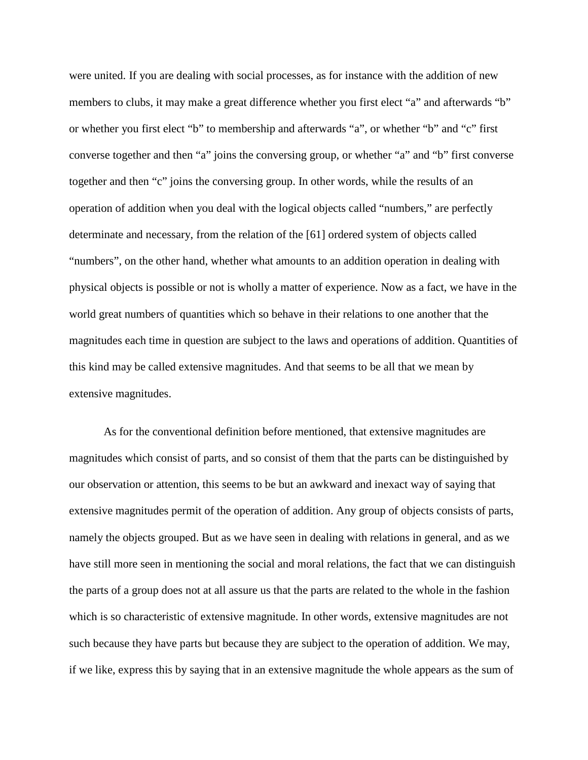were united. If you are dealing with social processes, as for instance with the addition of new members to clubs, it may make a great difference whether you first elect "a" and afterwards "b" or whether you first elect "b" to membership and afterwards "a", or whether "b" and "c" first converse together and then "a" joins the conversing group, or whether "a" and "b" first converse together and then "c" joins the conversing group. In other words, while the results of an operation of addition when you deal with the logical objects called "numbers," are perfectly determinate and necessary, from the relation of the [61] ordered system of objects called "numbers", on the other hand, whether what amounts to an addition operation in dealing with physical objects is possible or not is wholly a matter of experience. Now as a fact, we have in the world great numbers of quantities which so behave in their relations to one another that the magnitudes each time in question are subject to the laws and operations of addition. Quantities of this kind may be called extensive magnitudes. And that seems to be all that we mean by extensive magnitudes.

As for the conventional definition before mentioned, that extensive magnitudes are magnitudes which consist of parts, and so consist of them that the parts can be distinguished by our observation or attention, this seems to be but an awkward and inexact way of saying that extensive magnitudes permit of the operation of addition. Any group of objects consists of parts, namely the objects grouped. But as we have seen in dealing with relations in general, and as we have still more seen in mentioning the social and moral relations, the fact that we can distinguish the parts of a group does not at all assure us that the parts are related to the whole in the fashion which is so characteristic of extensive magnitude. In other words, extensive magnitudes are not such because they have parts but because they are subject to the operation of addition. We may, if we like, express this by saying that in an extensive magnitude the whole appears as the sum of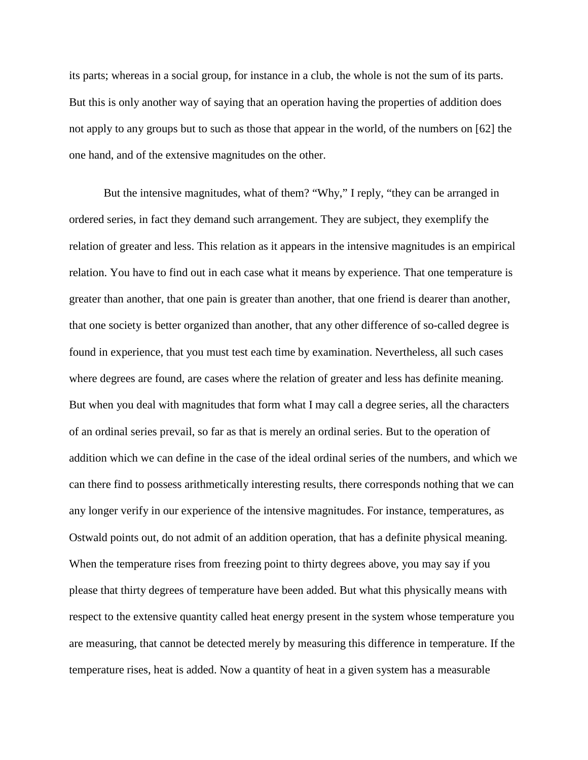its parts; whereas in a social group, for instance in a club, the whole is not the sum of its parts. But this is only another way of saying that an operation having the properties of addition does not apply to any groups but to such as those that appear in the world, of the numbers on [62] the one hand, and of the extensive magnitudes on the other.

But the intensive magnitudes, what of them? "Why," I reply, "they can be arranged in ordered series, in fact they demand such arrangement. They are subject, they exemplify the relation of greater and less. This relation as it appears in the intensive magnitudes is an empirical relation. You have to find out in each case what it means by experience. That one temperature is greater than another, that one pain is greater than another, that one friend is dearer than another, that one society is better organized than another, that any other difference of so-called degree is found in experience, that you must test each time by examination. Nevertheless, all such cases where degrees are found, are cases where the relation of greater and less has definite meaning. But when you deal with magnitudes that form what I may call a degree series, all the characters of an ordinal series prevail, so far as that is merely an ordinal series. But to the operation of addition which we can define in the case of the ideal ordinal series of the numbers, and which we can there find to possess arithmetically interesting results, there corresponds nothing that we can any longer verify in our experience of the intensive magnitudes. For instance, temperatures, as Ostwald points out, do not admit of an addition operation, that has a definite physical meaning. When the temperature rises from freezing point to thirty degrees above, you may say if you please that thirty degrees of temperature have been added. But what this physically means with respect to the extensive quantity called heat energy present in the system whose temperature you are measuring, that cannot be detected merely by measuring this difference in temperature. If the temperature rises, heat is added. Now a quantity of heat in a given system has a measurable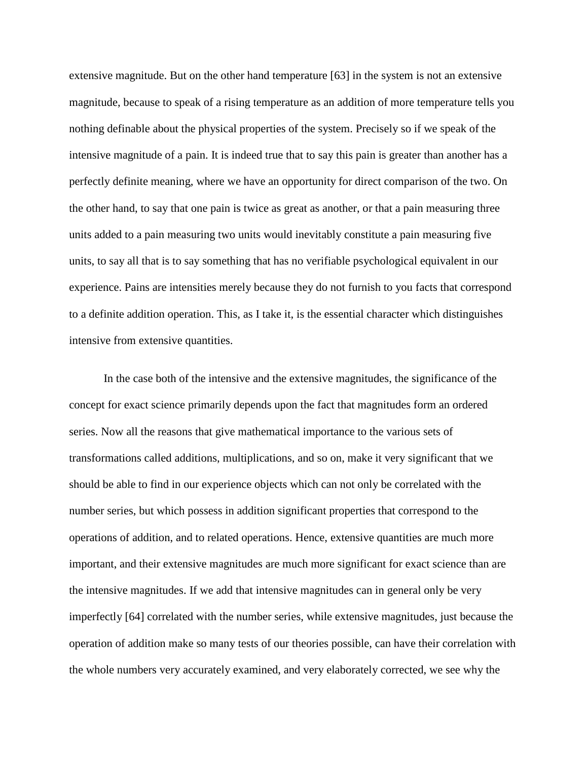extensive magnitude. But on the other hand temperature [63] in the system is not an extensive magnitude, because to speak of a rising temperature as an addition of more temperature tells you nothing definable about the physical properties of the system. Precisely so if we speak of the intensive magnitude of a pain. It is indeed true that to say this pain is greater than another has a perfectly definite meaning, where we have an opportunity for direct comparison of the two. On the other hand, to say that one pain is twice as great as another, or that a pain measuring three units added to a pain measuring two units would inevitably constitute a pain measuring five units, to say all that is to say something that has no verifiable psychological equivalent in our experience. Pains are intensities merely because they do not furnish to you facts that correspond to a definite addition operation. This, as I take it, is the essential character which distinguishes intensive from extensive quantities.

In the case both of the intensive and the extensive magnitudes, the significance of the concept for exact science primarily depends upon the fact that magnitudes form an ordered series. Now all the reasons that give mathematical importance to the various sets of transformations called additions, multiplications, and so on, make it very significant that we should be able to find in our experience objects which can not only be correlated with the number series, but which possess in addition significant properties that correspond to the operations of addition, and to related operations. Hence, extensive quantities are much more important, and their extensive magnitudes are much more significant for exact science than are the intensive magnitudes. If we add that intensive magnitudes can in general only be very imperfectly [64] correlated with the number series, while extensive magnitudes, just because the operation of addition make so many tests of our theories possible, can have their correlation with the whole numbers very accurately examined, and very elaborately corrected, we see why the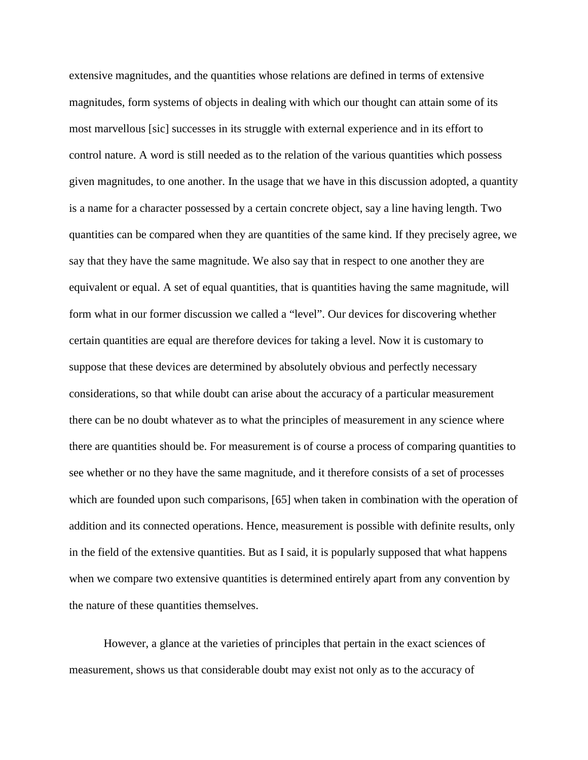extensive magnitudes, and the quantities whose relations are defined in terms of extensive magnitudes, form systems of objects in dealing with which our thought can attain some of its most marvellous [sic] successes in its struggle with external experience and in its effort to control nature. A word is still needed as to the relation of the various quantities which possess given magnitudes, to one another. In the usage that we have in this discussion adopted, a quantity is a name for a character possessed by a certain concrete object, say a line having length. Two quantities can be compared when they are quantities of the same kind. If they precisely agree, we say that they have the same magnitude. We also say that in respect to one another they are equivalent or equal. A set of equal quantities, that is quantities having the same magnitude, will form what in our former discussion we called a "level". Our devices for discovering whether certain quantities are equal are therefore devices for taking a level. Now it is customary to suppose that these devices are determined by absolutely obvious and perfectly necessary considerations, so that while doubt can arise about the accuracy of a particular measurement there can be no doubt whatever as to what the principles of measurement in any science where there are quantities should be. For measurement is of course a process of comparing quantities to see whether or no they have the same magnitude, and it therefore consists of a set of processes which are founded upon such comparisons, [65] when taken in combination with the operation of addition and its connected operations. Hence, measurement is possible with definite results, only in the field of the extensive quantities. But as I said, it is popularly supposed that what happens when we compare two extensive quantities is determined entirely apart from any convention by the nature of these quantities themselves.

However, a glance at the varieties of principles that pertain in the exact sciences of measurement, shows us that considerable doubt may exist not only as to the accuracy of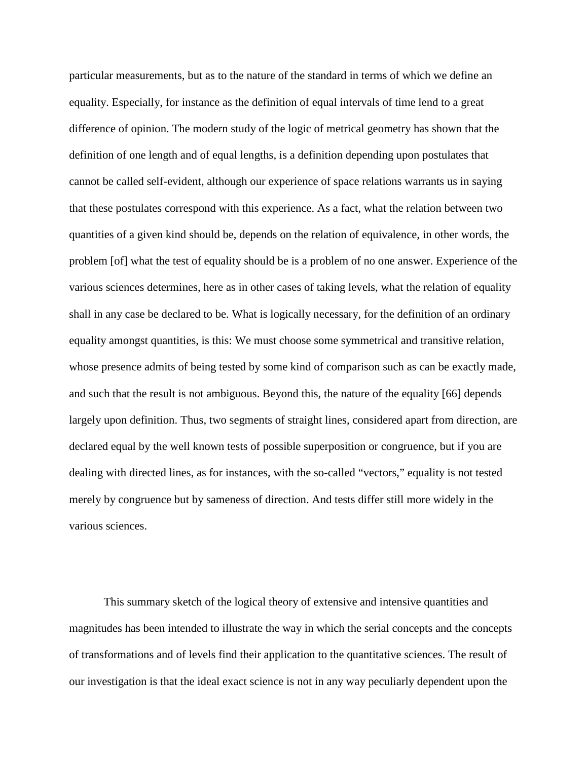particular measurements, but as to the nature of the standard in terms of which we define an equality. Especially, for instance as the definition of equal intervals of time lend to a great difference of opinion. The modern study of the logic of metrical geometry has shown that the definition of one length and of equal lengths, is a definition depending upon postulates that cannot be called self-evident, although our experience of space relations warrants us in saying that these postulates correspond with this experience. As a fact, what the relation between two quantities of a given kind should be, depends on the relation of equivalence, in other words, the problem [of] what the test of equality should be is a problem of no one answer. Experience of the various sciences determines, here as in other cases of taking levels, what the relation of equality shall in any case be declared to be. What is logically necessary, for the definition of an ordinary equality amongst quantities, is this: We must choose some symmetrical and transitive relation, whose presence admits of being tested by some kind of comparison such as can be exactly made, and such that the result is not ambiguous. Beyond this, the nature of the equality [66] depends largely upon definition. Thus, two segments of straight lines, considered apart from direction, are declared equal by the well known tests of possible superposition or congruence, but if you are dealing with directed lines, as for instances, with the so-called "vectors," equality is not tested merely by congruence but by sameness of direction. And tests differ still more widely in the various sciences.

This summary sketch of the logical theory of extensive and intensive quantities and magnitudes has been intended to illustrate the way in which the serial concepts and the concepts of transformations and of levels find their application to the quantitative sciences. The result of our investigation is that the ideal exact science is not in any way peculiarly dependent upon the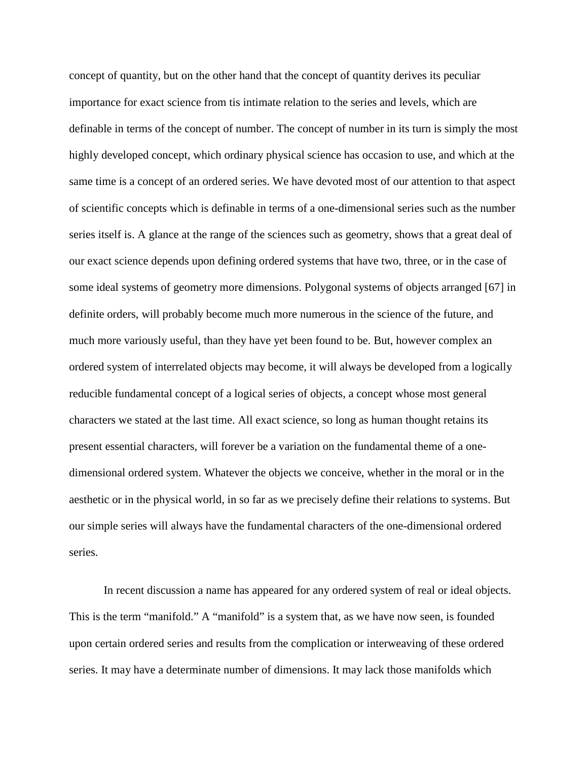concept of quantity, but on the other hand that the concept of quantity derives its peculiar importance for exact science from tis intimate relation to the series and levels, which are definable in terms of the concept of number. The concept of number in its turn is simply the most highly developed concept, which ordinary physical science has occasion to use, and which at the same time is a concept of an ordered series. We have devoted most of our attention to that aspect of scientific concepts which is definable in terms of a one-dimensional series such as the number series itself is. A glance at the range of the sciences such as geometry, shows that a great deal of our exact science depends upon defining ordered systems that have two, three, or in the case of some ideal systems of geometry more dimensions. Polygonal systems of objects arranged [67] in definite orders, will probably become much more numerous in the science of the future, and much more variously useful, than they have yet been found to be. But, however complex an ordered system of interrelated objects may become, it will always be developed from a logically reducible fundamental concept of a logical series of objects, a concept whose most general characters we stated at the last time. All exact science, so long as human thought retains its present essential characters, will forever be a variation on the fundamental theme of a onedimensional ordered system. Whatever the objects we conceive, whether in the moral or in the aesthetic or in the physical world, in so far as we precisely define their relations to systems. But our simple series will always have the fundamental characters of the one-dimensional ordered series.

In recent discussion a name has appeared for any ordered system of real or ideal objects. This is the term "manifold." A "manifold" is a system that, as we have now seen, is founded upon certain ordered series and results from the complication or interweaving of these ordered series. It may have a determinate number of dimensions. It may lack those manifolds which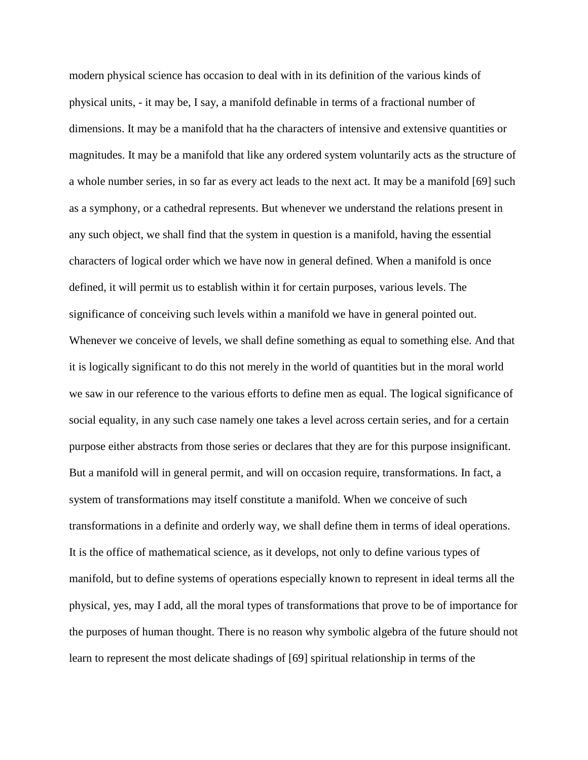modern physical science has occasion to deal with in its definition of the various kinds of physical units, - it may be, I say, a manifold definable in terms of a fractional number of dimensions. It may be a manifold that ha the characters of intensive and extensive quantities or magnitudes. It may be a manifold that like any ordered system voluntarily acts as the structure of a whole number series, in so far as every act leads to the next act. It may be a manifold [69] such as a symphony, or a cathedral represents. But whenever we understand the relations present in any such object, we shall find that the system in question is a manifold, having the essential characters of logical order which we have now in general defined. When a manifold is once defined, it will permit us to establish within it for certain purposes, various levels. The significance of conceiving such levels within a manifold we have in general pointed out. Whenever we conceive of levels, we shall define something as equal to something else. And that it is logically significant to do this not merely in the world of quantities but in the moral world we saw in our reference to the various efforts to define men as equal. The logical significance of social equality, in any such case namely one takes a level across certain series, and for a certain purpose either abstracts from those series or declares that they are for this purpose insignificant. But a manifold will in general permit, and will on occasion require, transformations. In fact, a system of transformations may itself constitute a manifold. When we conceive of such transformations in a definite and orderly way, we shall define them in terms of ideal operations. It is the office of mathematical science, as it develops, not only to define various types of manifold, but to define systems of operations especially known to represent in ideal terms all the physical, yes, may I add, all the moral types of transformations that prove to be of importance for the purposes of human thought. There is no reason why symbolic algebra of the future should not learn to represent the most delicate shadings of [69] spiritual relationship in terms of the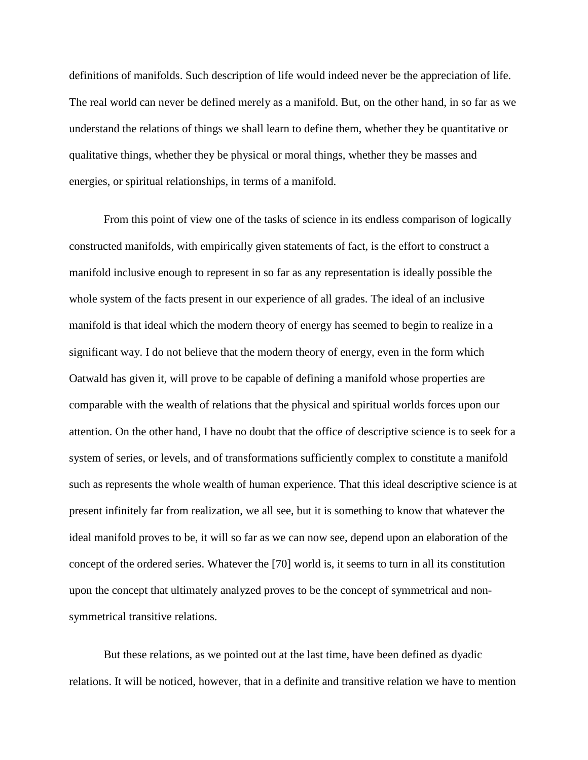definitions of manifolds. Such description of life would indeed never be the appreciation of life. The real world can never be defined merely as a manifold. But, on the other hand, in so far as we understand the relations of things we shall learn to define them, whether they be quantitative or qualitative things, whether they be physical or moral things, whether they be masses and energies, or spiritual relationships, in terms of a manifold.

From this point of view one of the tasks of science in its endless comparison of logically constructed manifolds, with empirically given statements of fact, is the effort to construct a manifold inclusive enough to represent in so far as any representation is ideally possible the whole system of the facts present in our experience of all grades. The ideal of an inclusive manifold is that ideal which the modern theory of energy has seemed to begin to realize in a significant way. I do not believe that the modern theory of energy, even in the form which Oatwald has given it, will prove to be capable of defining a manifold whose properties are comparable with the wealth of relations that the physical and spiritual worlds forces upon our attention. On the other hand, I have no doubt that the office of descriptive science is to seek for a system of series, or levels, and of transformations sufficiently complex to constitute a manifold such as represents the whole wealth of human experience. That this ideal descriptive science is at present infinitely far from realization, we all see, but it is something to know that whatever the ideal manifold proves to be, it will so far as we can now see, depend upon an elaboration of the concept of the ordered series. Whatever the [70] world is, it seems to turn in all its constitution upon the concept that ultimately analyzed proves to be the concept of symmetrical and nonsymmetrical transitive relations.

But these relations, as we pointed out at the last time, have been defined as dyadic relations. It will be noticed, however, that in a definite and transitive relation we have to mention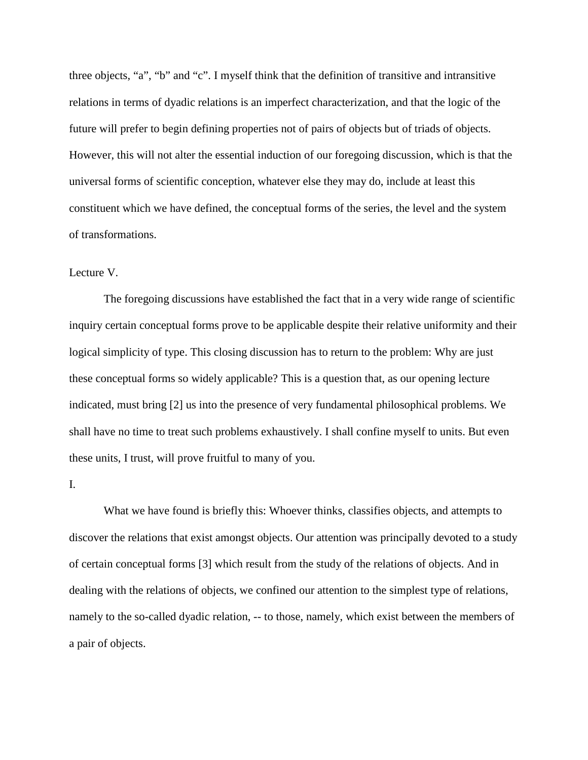three objects, "a", "b" and "c". I myself think that the definition of transitive and intransitive relations in terms of dyadic relations is an imperfect characterization, and that the logic of the future will prefer to begin defining properties not of pairs of objects but of triads of objects. However, this will not alter the essential induction of our foregoing discussion, which is that the universal forms of scientific conception, whatever else they may do, include at least this constituent which we have defined, the conceptual forms of the series, the level and the system of transformations.

## Lecture V.

The foregoing discussions have established the fact that in a very wide range of scientific inquiry certain conceptual forms prove to be applicable despite their relative uniformity and their logical simplicity of type. This closing discussion has to return to the problem: Why are just these conceptual forms so widely applicable? This is a question that, as our opening lecture indicated, must bring [2] us into the presence of very fundamental philosophical problems. We shall have no time to treat such problems exhaustively. I shall confine myself to units. But even these units, I trust, will prove fruitful to many of you.

## I.

What we have found is briefly this: Whoever thinks, classifies objects, and attempts to discover the relations that exist amongst objects. Our attention was principally devoted to a study of certain conceptual forms [3] which result from the study of the relations of objects. And in dealing with the relations of objects, we confined our attention to the simplest type of relations, namely to the so-called dyadic relation, -- to those, namely, which exist between the members of a pair of objects.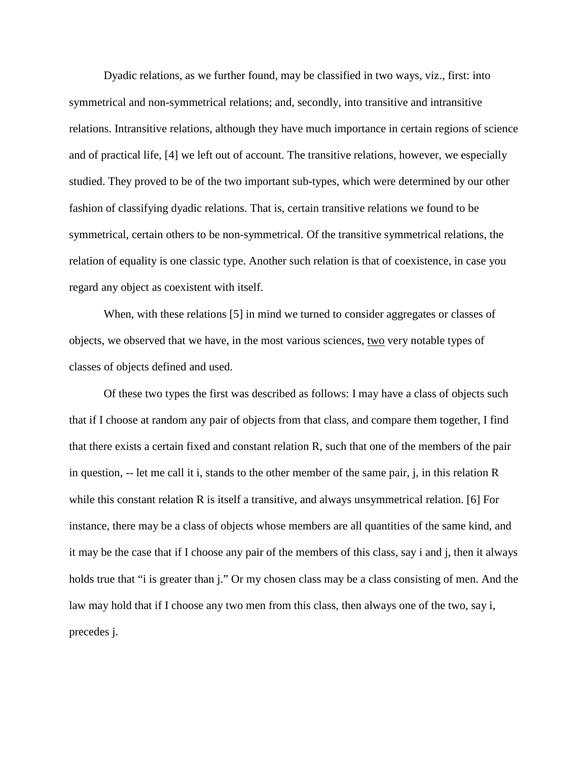Dyadic relations, as we further found, may be classified in two ways, viz., first: into symmetrical and non-symmetrical relations; and, secondly, into transitive and intransitive relations. Intransitive relations, although they have much importance in certain regions of science and of practical life, [4] we left out of account. The transitive relations, however, we especially studied. They proved to be of the two important sub-types, which were determined by our other fashion of classifying dyadic relations. That is, certain transitive relations we found to be symmetrical, certain others to be non-symmetrical. Of the transitive symmetrical relations, the relation of equality is one classic type. Another such relation is that of coexistence, in case you regard any object as coexistent with itself.

When, with these relations [5] in mind we turned to consider aggregates or classes of objects, we observed that we have, in the most various sciences, two very notable types of classes of objects defined and used.

Of these two types the first was described as follows: I may have a class of objects such that if I choose at random any pair of objects from that class, and compare them together, I find that there exists a certain fixed and constant relation R, such that one of the members of the pair in question, -- let me call it i, stands to the other member of the same pair, j, in this relation R while this constant relation R is itself a transitive, and always unsymmetrical relation. [6] For instance, there may be a class of objects whose members are all quantities of the same kind, and it may be the case that if I choose any pair of the members of this class, say i and j, then it always holds true that "i is greater than j." Or my chosen class may be a class consisting of men. And the law may hold that if I choose any two men from this class, then always one of the two, say i, precedes j.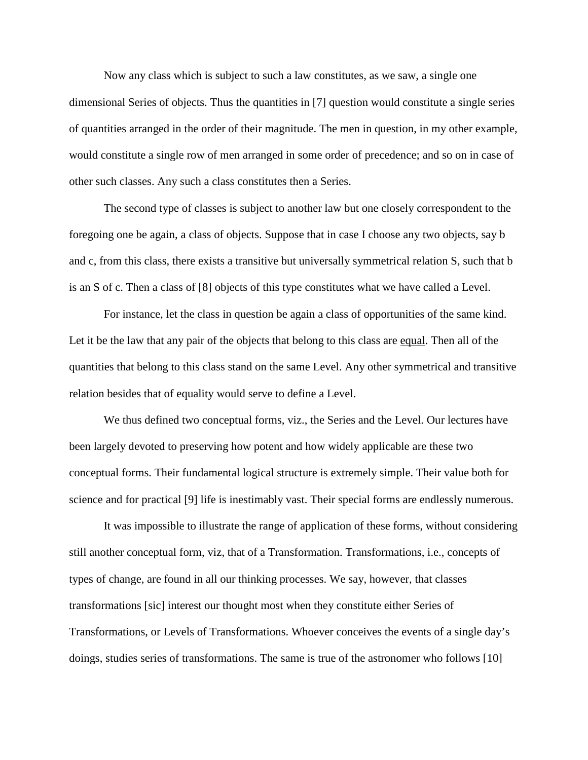Now any class which is subject to such a law constitutes, as we saw, a single one dimensional Series of objects. Thus the quantities in [7] question would constitute a single series of quantities arranged in the order of their magnitude. The men in question, in my other example, would constitute a single row of men arranged in some order of precedence; and so on in case of other such classes. Any such a class constitutes then a Series.

The second type of classes is subject to another law but one closely correspondent to the foregoing one be again, a class of objects. Suppose that in case I choose any two objects, say b and c, from this class, there exists a transitive but universally symmetrical relation S, such that b is an S of c. Then a class of [8] objects of this type constitutes what we have called a Level.

For instance, let the class in question be again a class of opportunities of the same kind. Let it be the law that any pair of the objects that belong to this class are equal. Then all of the quantities that belong to this class stand on the same Level. Any other symmetrical and transitive relation besides that of equality would serve to define a Level.

We thus defined two conceptual forms, viz., the Series and the Level. Our lectures have been largely devoted to preserving how potent and how widely applicable are these two conceptual forms. Their fundamental logical structure is extremely simple. Their value both for science and for practical [9] life is inestimably vast. Their special forms are endlessly numerous.

It was impossible to illustrate the range of application of these forms, without considering still another conceptual form, viz, that of a Transformation. Transformations, i.e., concepts of types of change, are found in all our thinking processes. We say, however, that classes transformations [sic] interest our thought most when they constitute either Series of Transformations, or Levels of Transformations. Whoever conceives the events of a single day's doings, studies series of transformations. The same is true of the astronomer who follows [10]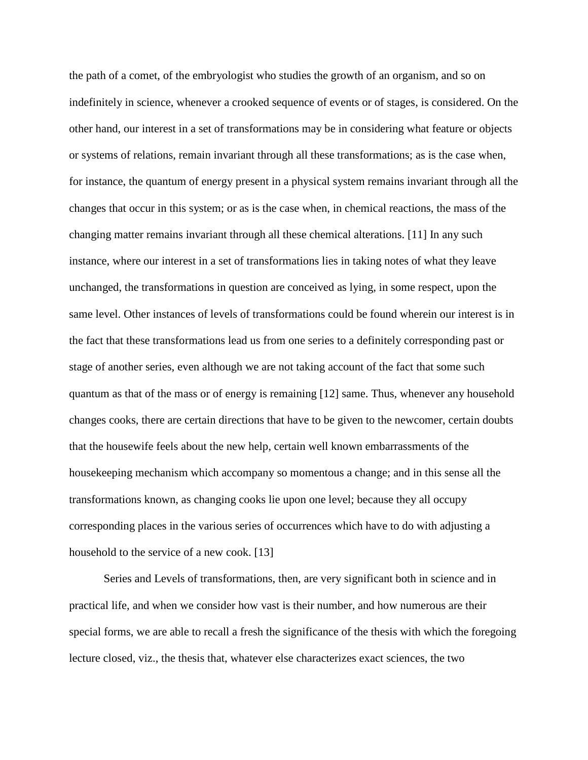the path of a comet, of the embryologist who studies the growth of an organism, and so on indefinitely in science, whenever a crooked sequence of events or of stages, is considered. On the other hand, our interest in a set of transformations may be in considering what feature or objects or systems of relations, remain invariant through all these transformations; as is the case when, for instance, the quantum of energy present in a physical system remains invariant through all the changes that occur in this system; or as is the case when, in chemical reactions, the mass of the changing matter remains invariant through all these chemical alterations. [11] In any such instance, where our interest in a set of transformations lies in taking notes of what they leave unchanged, the transformations in question are conceived as lying, in some respect, upon the same level. Other instances of levels of transformations could be found wherein our interest is in the fact that these transformations lead us from one series to a definitely corresponding past or stage of another series, even although we are not taking account of the fact that some such quantum as that of the mass or of energy is remaining [12] same. Thus, whenever any household changes cooks, there are certain directions that have to be given to the newcomer, certain doubts that the housewife feels about the new help, certain well known embarrassments of the housekeeping mechanism which accompany so momentous a change; and in this sense all the transformations known, as changing cooks lie upon one level; because they all occupy corresponding places in the various series of occurrences which have to do with adjusting a household to the service of a new cook. [13]

Series and Levels of transformations, then, are very significant both in science and in practical life, and when we consider how vast is their number, and how numerous are their special forms, we are able to recall a fresh the significance of the thesis with which the foregoing lecture closed, viz., the thesis that, whatever else characterizes exact sciences, the two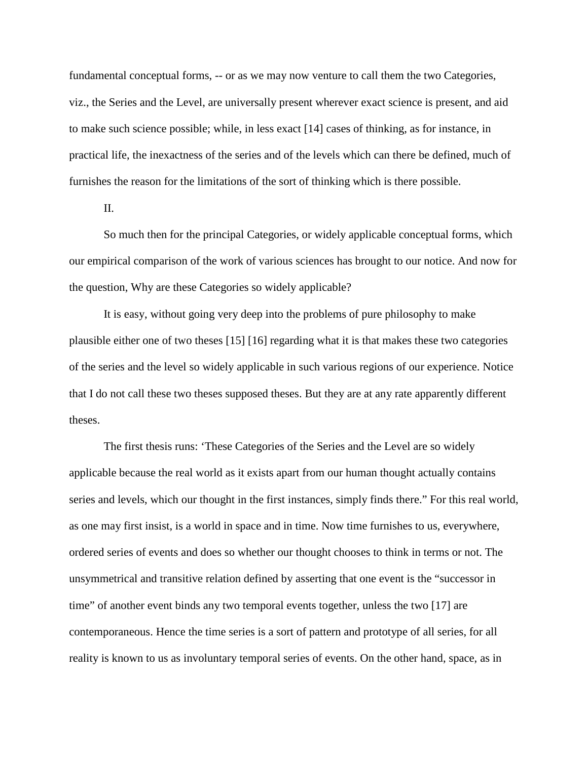fundamental conceptual forms, -- or as we may now venture to call them the two Categories, viz., the Series and the Level, are universally present wherever exact science is present, and aid to make such science possible; while, in less exact [14] cases of thinking, as for instance, in practical life, the inexactness of the series and of the levels which can there be defined, much of furnishes the reason for the limitations of the sort of thinking which is there possible.

II.

So much then for the principal Categories, or widely applicable conceptual forms, which our empirical comparison of the work of various sciences has brought to our notice. And now for the question, Why are these Categories so widely applicable?

It is easy, without going very deep into the problems of pure philosophy to make plausible either one of two theses [15] [16] regarding what it is that makes these two categories of the series and the level so widely applicable in such various regions of our experience. Notice that I do not call these two theses supposed theses. But they are at any rate apparently different theses.

The first thesis runs: 'These Categories of the Series and the Level are so widely applicable because the real world as it exists apart from our human thought actually contains series and levels, which our thought in the first instances, simply finds there." For this real world, as one may first insist, is a world in space and in time. Now time furnishes to us, everywhere, ordered series of events and does so whether our thought chooses to think in terms or not. The unsymmetrical and transitive relation defined by asserting that one event is the "successor in time" of another event binds any two temporal events together, unless the two [17] are contemporaneous. Hence the time series is a sort of pattern and prototype of all series, for all reality is known to us as involuntary temporal series of events. On the other hand, space, as in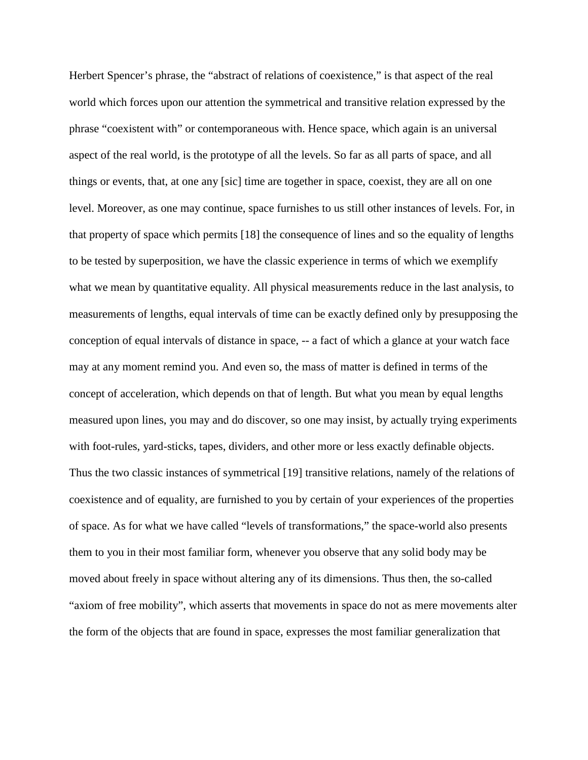Herbert Spencer's phrase, the "abstract of relations of coexistence," is that aspect of the real world which forces upon our attention the symmetrical and transitive relation expressed by the phrase "coexistent with" or contemporaneous with. Hence space, which again is an universal aspect of the real world, is the prototype of all the levels. So far as all parts of space, and all things or events, that, at one any [sic] time are together in space, coexist, they are all on one level. Moreover, as one may continue, space furnishes to us still other instances of levels. For, in that property of space which permits [18] the consequence of lines and so the equality of lengths to be tested by superposition, we have the classic experience in terms of which we exemplify what we mean by quantitative equality. All physical measurements reduce in the last analysis, to measurements of lengths, equal intervals of time can be exactly defined only by presupposing the conception of equal intervals of distance in space, -- a fact of which a glance at your watch face may at any moment remind you. And even so, the mass of matter is defined in terms of the concept of acceleration, which depends on that of length. But what you mean by equal lengths measured upon lines, you may and do discover, so one may insist, by actually trying experiments with foot-rules, yard-sticks, tapes, dividers, and other more or less exactly definable objects. Thus the two classic instances of symmetrical [19] transitive relations, namely of the relations of coexistence and of equality, are furnished to you by certain of your experiences of the properties of space. As for what we have called "levels of transformations," the space-world also presents them to you in their most familiar form, whenever you observe that any solid body may be moved about freely in space without altering any of its dimensions. Thus then, the so-called "axiom of free mobility", which asserts that movements in space do not as mere movements alter the form of the objects that are found in space, expresses the most familiar generalization that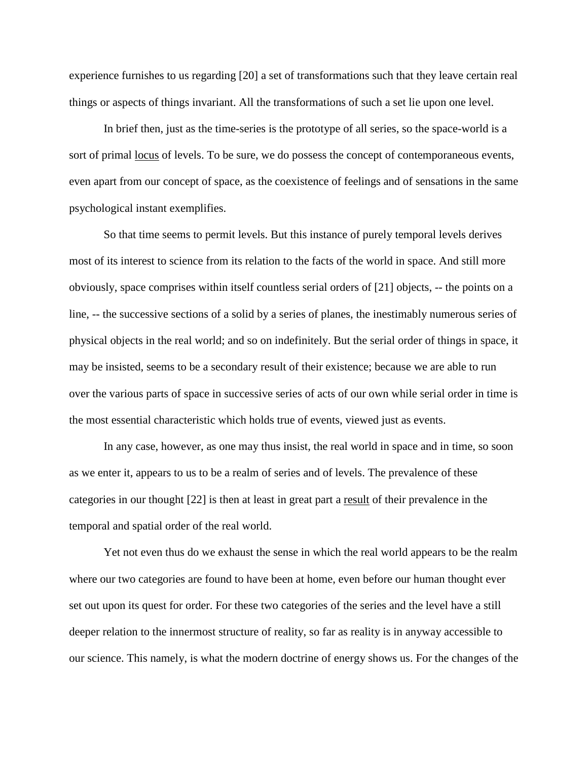experience furnishes to us regarding [20] a set of transformations such that they leave certain real things or aspects of things invariant. All the transformations of such a set lie upon one level.

In brief then, just as the time-series is the prototype of all series, so the space-world is a sort of primal locus of levels. To be sure, we do possess the concept of contemporaneous events, even apart from our concept of space, as the coexistence of feelings and of sensations in the same psychological instant exemplifies.

So that time seems to permit levels. But this instance of purely temporal levels derives most of its interest to science from its relation to the facts of the world in space. And still more obviously, space comprises within itself countless serial orders of [21] objects, -- the points on a line, -- the successive sections of a solid by a series of planes, the inestimably numerous series of physical objects in the real world; and so on indefinitely. But the serial order of things in space, it may be insisted, seems to be a secondary result of their existence; because we are able to run over the various parts of space in successive series of acts of our own while serial order in time is the most essential characteristic which holds true of events, viewed just as events.

In any case, however, as one may thus insist, the real world in space and in time, so soon as we enter it, appears to us to be a realm of series and of levels. The prevalence of these categories in our thought [22] is then at least in great part a result of their prevalence in the temporal and spatial order of the real world.

Yet not even thus do we exhaust the sense in which the real world appears to be the realm where our two categories are found to have been at home, even before our human thought ever set out upon its quest for order. For these two categories of the series and the level have a still deeper relation to the innermost structure of reality, so far as reality is in anyway accessible to our science. This namely, is what the modern doctrine of energy shows us. For the changes of the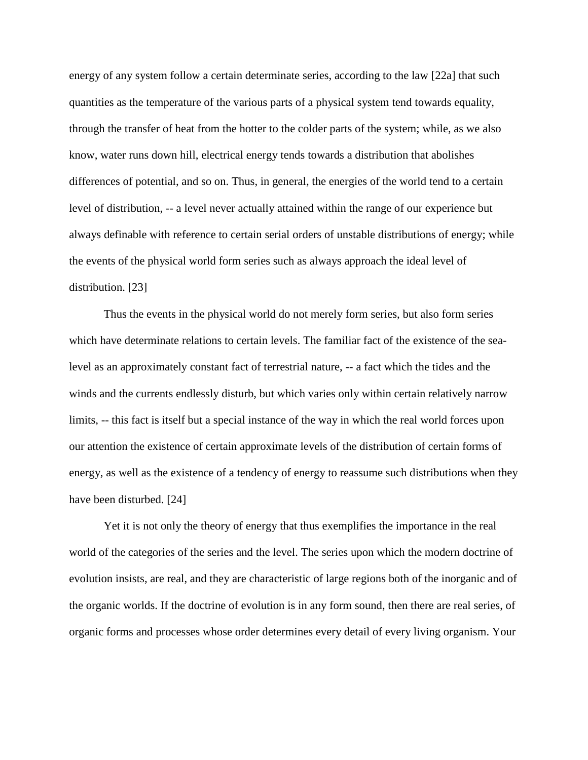energy of any system follow a certain determinate series, according to the law [22a] that such quantities as the temperature of the various parts of a physical system tend towards equality, through the transfer of heat from the hotter to the colder parts of the system; while, as we also know, water runs down hill, electrical energy tends towards a distribution that abolishes differences of potential, and so on. Thus, in general, the energies of the world tend to a certain level of distribution, -- a level never actually attained within the range of our experience but always definable with reference to certain serial orders of unstable distributions of energy; while the events of the physical world form series such as always approach the ideal level of distribution. [23]

Thus the events in the physical world do not merely form series, but also form series which have determinate relations to certain levels. The familiar fact of the existence of the sealevel as an approximately constant fact of terrestrial nature, -- a fact which the tides and the winds and the currents endlessly disturb, but which varies only within certain relatively narrow limits, -- this fact is itself but a special instance of the way in which the real world forces upon our attention the existence of certain approximate levels of the distribution of certain forms of energy, as well as the existence of a tendency of energy to reassume such distributions when they have been disturbed. [24]

Yet it is not only the theory of energy that thus exemplifies the importance in the real world of the categories of the series and the level. The series upon which the modern doctrine of evolution insists, are real, and they are characteristic of large regions both of the inorganic and of the organic worlds. If the doctrine of evolution is in any form sound, then there are real series, of organic forms and processes whose order determines every detail of every living organism. Your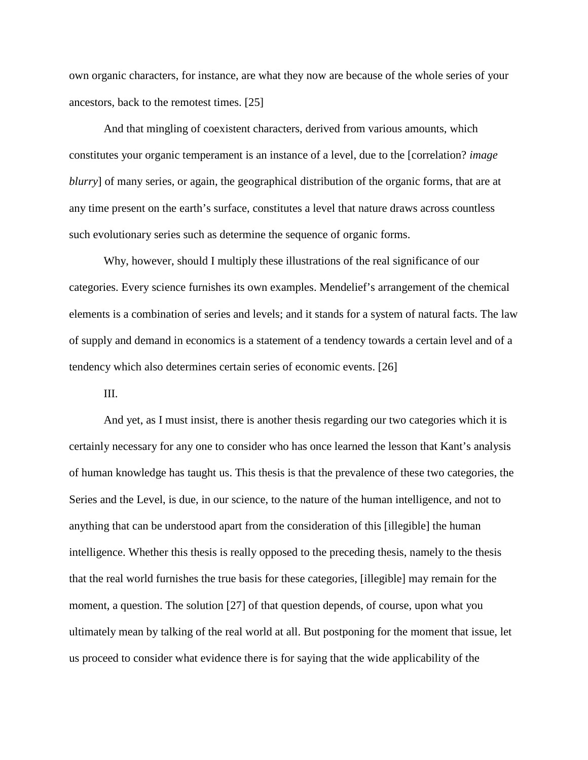own organic characters, for instance, are what they now are because of the whole series of your ancestors, back to the remotest times. [25]

And that mingling of coexistent characters, derived from various amounts, which constitutes your organic temperament is an instance of a level, due to the [correlation? *image blurry*] of many series, or again, the geographical distribution of the organic forms, that are at any time present on the earth's surface, constitutes a level that nature draws across countless such evolutionary series such as determine the sequence of organic forms.

Why, however, should I multiply these illustrations of the real significance of our categories. Every science furnishes its own examples. Mendelief's arrangement of the chemical elements is a combination of series and levels; and it stands for a system of natural facts. The law of supply and demand in economics is a statement of a tendency towards a certain level and of a tendency which also determines certain series of economic events. [26]

III.

And yet, as I must insist, there is another thesis regarding our two categories which it is certainly necessary for any one to consider who has once learned the lesson that Kant's analysis of human knowledge has taught us. This thesis is that the prevalence of these two categories, the Series and the Level, is due, in our science, to the nature of the human intelligence, and not to anything that can be understood apart from the consideration of this [illegible] the human intelligence. Whether this thesis is really opposed to the preceding thesis, namely to the thesis that the real world furnishes the true basis for these categories, [illegible] may remain for the moment, a question. The solution [27] of that question depends, of course, upon what you ultimately mean by talking of the real world at all. But postponing for the moment that issue, let us proceed to consider what evidence there is for saying that the wide applicability of the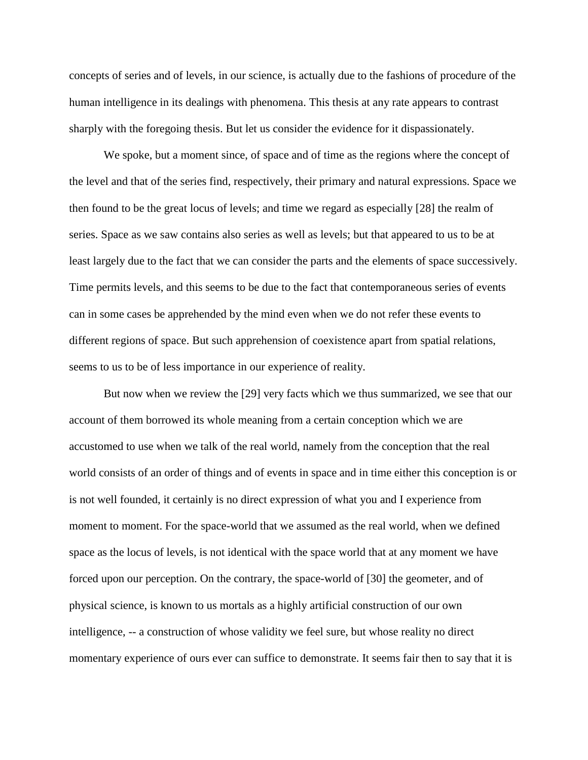concepts of series and of levels, in our science, is actually due to the fashions of procedure of the human intelligence in its dealings with phenomena. This thesis at any rate appears to contrast sharply with the foregoing thesis. But let us consider the evidence for it dispassionately.

We spoke, but a moment since, of space and of time as the regions where the concept of the level and that of the series find, respectively, their primary and natural expressions. Space we then found to be the great locus of levels; and time we regard as especially [28] the realm of series. Space as we saw contains also series as well as levels; but that appeared to us to be at least largely due to the fact that we can consider the parts and the elements of space successively. Time permits levels, and this seems to be due to the fact that contemporaneous series of events can in some cases be apprehended by the mind even when we do not refer these events to different regions of space. But such apprehension of coexistence apart from spatial relations, seems to us to be of less importance in our experience of reality.

But now when we review the [29] very facts which we thus summarized, we see that our account of them borrowed its whole meaning from a certain conception which we are accustomed to use when we talk of the real world, namely from the conception that the real world consists of an order of things and of events in space and in time either this conception is or is not well founded, it certainly is no direct expression of what you and I experience from moment to moment. For the space-world that we assumed as the real world, when we defined space as the locus of levels, is not identical with the space world that at any moment we have forced upon our perception. On the contrary, the space-world of [30] the geometer, and of physical science, is known to us mortals as a highly artificial construction of our own intelligence, -- a construction of whose validity we feel sure, but whose reality no direct momentary experience of ours ever can suffice to demonstrate. It seems fair then to say that it is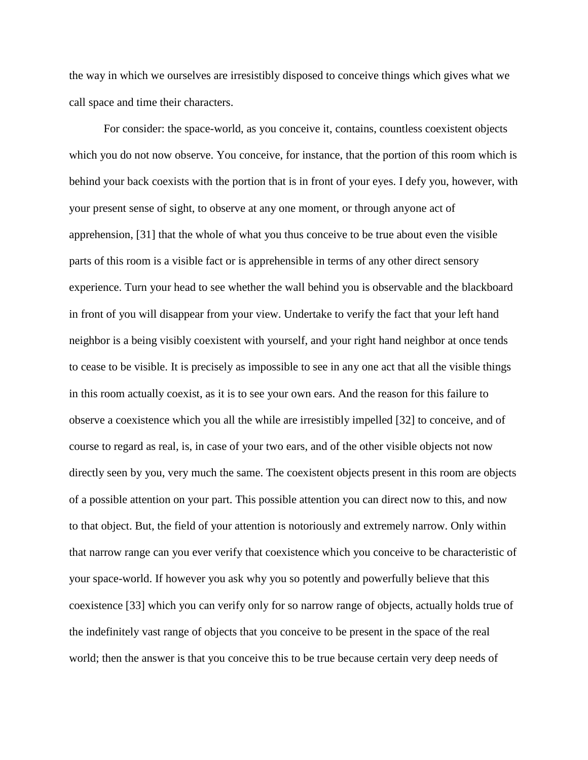the way in which we ourselves are irresistibly disposed to conceive things which gives what we call space and time their characters.

For consider: the space-world, as you conceive it, contains, countless coexistent objects which you do not now observe. You conceive, for instance, that the portion of this room which is behind your back coexists with the portion that is in front of your eyes. I defy you, however, with your present sense of sight, to observe at any one moment, or through anyone act of apprehension, [31] that the whole of what you thus conceive to be true about even the visible parts of this room is a visible fact or is apprehensible in terms of any other direct sensory experience. Turn your head to see whether the wall behind you is observable and the blackboard in front of you will disappear from your view. Undertake to verify the fact that your left hand neighbor is a being visibly coexistent with yourself, and your right hand neighbor at once tends to cease to be visible. It is precisely as impossible to see in any one act that all the visible things in this room actually coexist, as it is to see your own ears. And the reason for this failure to observe a coexistence which you all the while are irresistibly impelled [32] to conceive, and of course to regard as real, is, in case of your two ears, and of the other visible objects not now directly seen by you, very much the same. The coexistent objects present in this room are objects of a possible attention on your part. This possible attention you can direct now to this, and now to that object. But, the field of your attention is notoriously and extremely narrow. Only within that narrow range can you ever verify that coexistence which you conceive to be characteristic of your space-world. If however you ask why you so potently and powerfully believe that this coexistence [33] which you can verify only for so narrow range of objects, actually holds true of the indefinitely vast range of objects that you conceive to be present in the space of the real world; then the answer is that you conceive this to be true because certain very deep needs of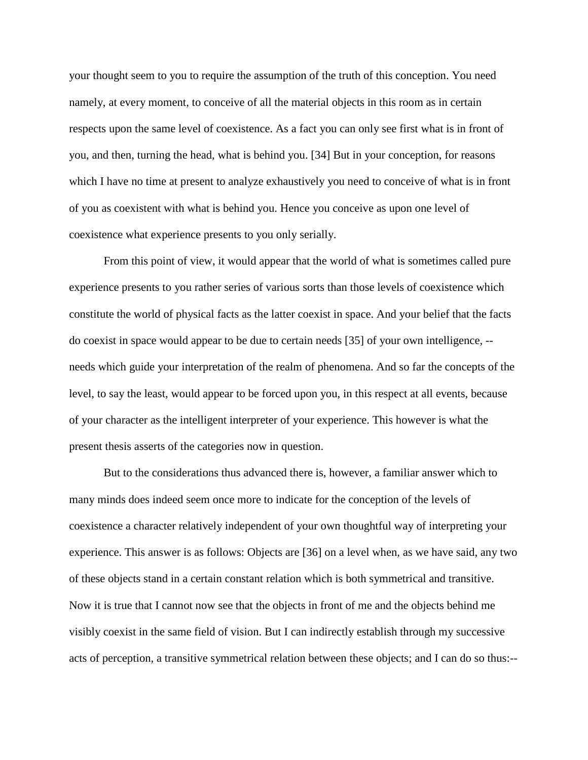your thought seem to you to require the assumption of the truth of this conception. You need namely, at every moment, to conceive of all the material objects in this room as in certain respects upon the same level of coexistence. As a fact you can only see first what is in front of you, and then, turning the head, what is behind you. [34] But in your conception, for reasons which I have no time at present to analyze exhaustively you need to conceive of what is in front of you as coexistent with what is behind you. Hence you conceive as upon one level of coexistence what experience presents to you only serially.

From this point of view, it would appear that the world of what is sometimes called pure experience presents to you rather series of various sorts than those levels of coexistence which constitute the world of physical facts as the latter coexist in space. And your belief that the facts do coexist in space would appear to be due to certain needs [35] of your own intelligence, - needs which guide your interpretation of the realm of phenomena. And so far the concepts of the level, to say the least, would appear to be forced upon you, in this respect at all events, because of your character as the intelligent interpreter of your experience. This however is what the present thesis asserts of the categories now in question.

But to the considerations thus advanced there is, however, a familiar answer which to many minds does indeed seem once more to indicate for the conception of the levels of coexistence a character relatively independent of your own thoughtful way of interpreting your experience. This answer is as follows: Objects are [36] on a level when, as we have said, any two of these objects stand in a certain constant relation which is both symmetrical and transitive. Now it is true that I cannot now see that the objects in front of me and the objects behind me visibly coexist in the same field of vision. But I can indirectly establish through my successive acts of perception, a transitive symmetrical relation between these objects; and I can do so thus:--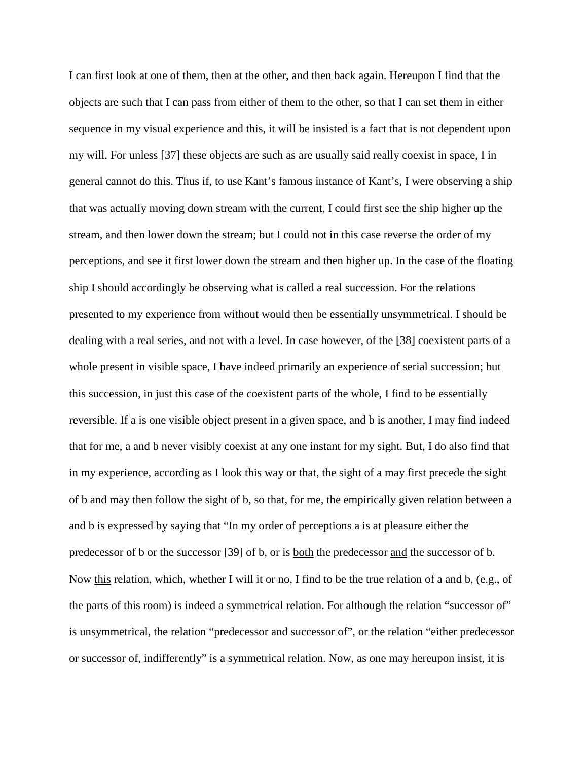I can first look at one of them, then at the other, and then back again. Hereupon I find that the objects are such that I can pass from either of them to the other, so that I can set them in either sequence in my visual experience and this, it will be insisted is a fact that is not dependent upon my will. For unless [37] these objects are such as are usually said really coexist in space, I in general cannot do this. Thus if, to use Kant's famous instance of Kant's, I were observing a ship that was actually moving down stream with the current, I could first see the ship higher up the stream, and then lower down the stream; but I could not in this case reverse the order of my perceptions, and see it first lower down the stream and then higher up. In the case of the floating ship I should accordingly be observing what is called a real succession. For the relations presented to my experience from without would then be essentially unsymmetrical. I should be dealing with a real series, and not with a level. In case however, of the [38] coexistent parts of a whole present in visible space, I have indeed primarily an experience of serial succession; but this succession, in just this case of the coexistent parts of the whole, I find to be essentially reversible. If a is one visible object present in a given space, and b is another, I may find indeed that for me, a and b never visibly coexist at any one instant for my sight. But, I do also find that in my experience, according as I look this way or that, the sight of a may first precede the sight of b and may then follow the sight of b, so that, for me, the empirically given relation between a and b is expressed by saying that "In my order of perceptions a is at pleasure either the predecessor of b or the successor [39] of b, or is both the predecessor and the successor of b. Now this relation, which, whether I will it or no, I find to be the true relation of a and b, (e.g., of the parts of this room) is indeed a symmetrical relation. For although the relation "successor of" is unsymmetrical, the relation "predecessor and successor of", or the relation "either predecessor or successor of, indifferently" is a symmetrical relation. Now, as one may hereupon insist, it is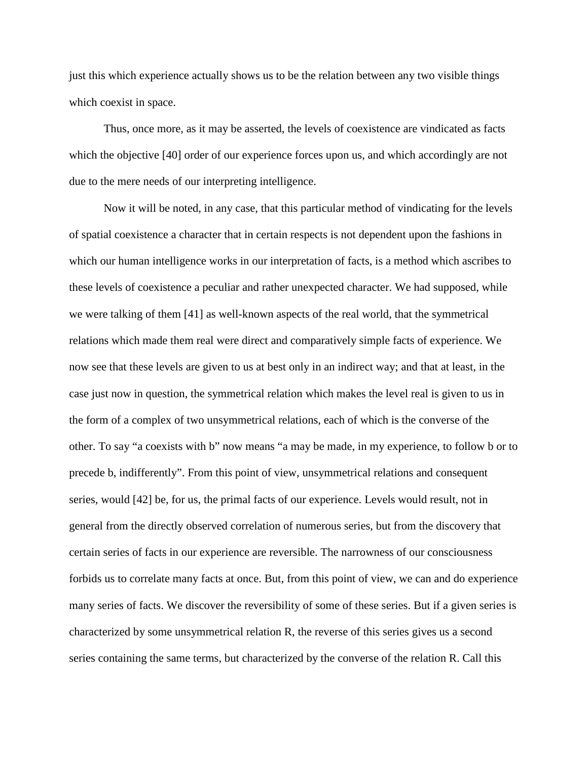just this which experience actually shows us to be the relation between any two visible things which coexist in space.

Thus, once more, as it may be asserted, the levels of coexistence are vindicated as facts which the objective [40] order of our experience forces upon us, and which accordingly are not due to the mere needs of our interpreting intelligence.

Now it will be noted, in any case, that this particular method of vindicating for the levels of spatial coexistence a character that in certain respects is not dependent upon the fashions in which our human intelligence works in our interpretation of facts, is a method which ascribes to these levels of coexistence a peculiar and rather unexpected character. We had supposed, while we were talking of them [41] as well-known aspects of the real world, that the symmetrical relations which made them real were direct and comparatively simple facts of experience. We now see that these levels are given to us at best only in an indirect way; and that at least, in the case just now in question, the symmetrical relation which makes the level real is given to us in the form of a complex of two unsymmetrical relations, each of which is the converse of the other. To say "a coexists with b" now means "a may be made, in my experience, to follow b or to precede b, indifferently". From this point of view, unsymmetrical relations and consequent series, would [42] be, for us, the primal facts of our experience. Levels would result, not in general from the directly observed correlation of numerous series, but from the discovery that certain series of facts in our experience are reversible. The narrowness of our consciousness forbids us to correlate many facts at once. But, from this point of view, we can and do experience many series of facts. We discover the reversibility of some of these series. But if a given series is characterized by some unsymmetrical relation R, the reverse of this series gives us a second series containing the same terms, but characterized by the converse of the relation R. Call this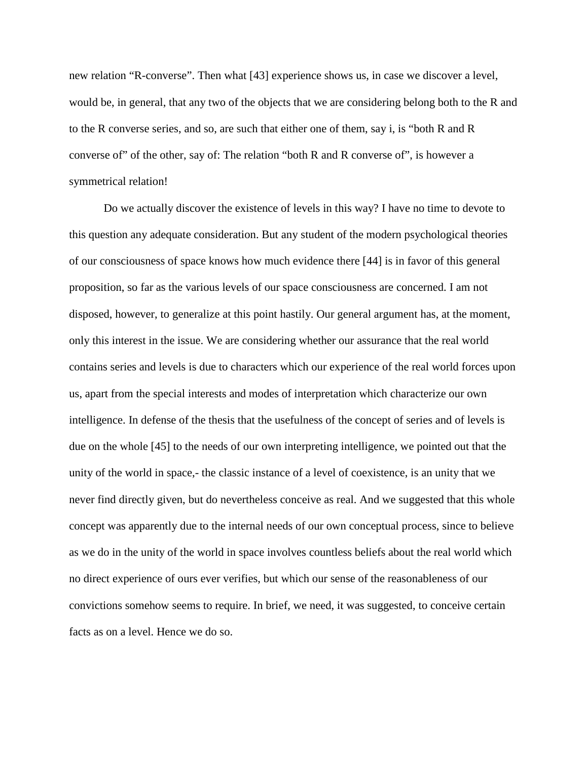new relation "R-converse". Then what [43] experience shows us, in case we discover a level, would be, in general, that any two of the objects that we are considering belong both to the R and to the R converse series, and so, are such that either one of them, say i, is "both R and R converse of" of the other, say of: The relation "both R and R converse of", is however a symmetrical relation!

Do we actually discover the existence of levels in this way? I have no time to devote to this question any adequate consideration. But any student of the modern psychological theories of our consciousness of space knows how much evidence there [44] is in favor of this general proposition, so far as the various levels of our space consciousness are concerned. I am not disposed, however, to generalize at this point hastily. Our general argument has, at the moment, only this interest in the issue. We are considering whether our assurance that the real world contains series and levels is due to characters which our experience of the real world forces upon us, apart from the special interests and modes of interpretation which characterize our own intelligence. In defense of the thesis that the usefulness of the concept of series and of levels is due on the whole [45] to the needs of our own interpreting intelligence, we pointed out that the unity of the world in space,- the classic instance of a level of coexistence, is an unity that we never find directly given, but do nevertheless conceive as real. And we suggested that this whole concept was apparently due to the internal needs of our own conceptual process, since to believe as we do in the unity of the world in space involves countless beliefs about the real world which no direct experience of ours ever verifies, but which our sense of the reasonableness of our convictions somehow seems to require. In brief, we need, it was suggested, to conceive certain facts as on a level. Hence we do so.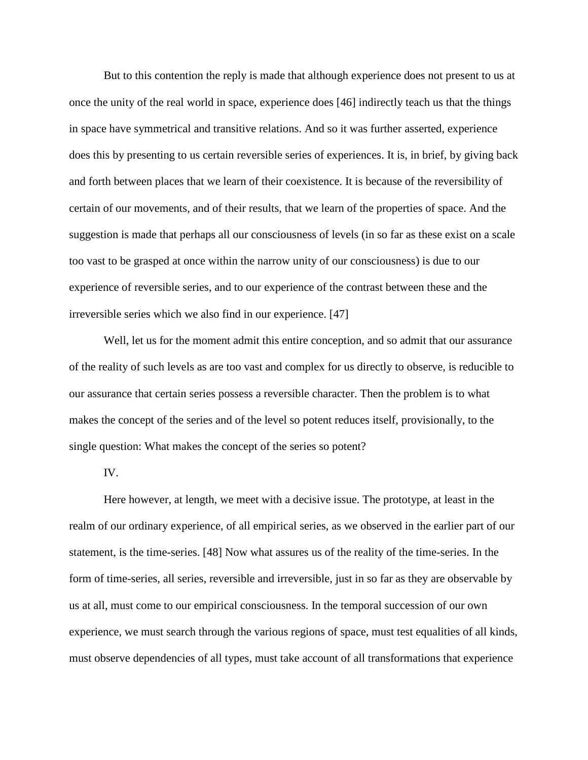But to this contention the reply is made that although experience does not present to us at once the unity of the real world in space, experience does [46] indirectly teach us that the things in space have symmetrical and transitive relations. And so it was further asserted, experience does this by presenting to us certain reversible series of experiences. It is, in brief, by giving back and forth between places that we learn of their coexistence. It is because of the reversibility of certain of our movements, and of their results, that we learn of the properties of space. And the suggestion is made that perhaps all our consciousness of levels (in so far as these exist on a scale too vast to be grasped at once within the narrow unity of our consciousness) is due to our experience of reversible series, and to our experience of the contrast between these and the irreversible series which we also find in our experience. [47]

Well, let us for the moment admit this entire conception, and so admit that our assurance of the reality of such levels as are too vast and complex for us directly to observe, is reducible to our assurance that certain series possess a reversible character. Then the problem is to what makes the concept of the series and of the level so potent reduces itself, provisionally, to the single question: What makes the concept of the series so potent?

IV.

Here however, at length, we meet with a decisive issue. The prototype, at least in the realm of our ordinary experience, of all empirical series, as we observed in the earlier part of our statement, is the time-series. [48] Now what assures us of the reality of the time-series. In the form of time-series, all series, reversible and irreversible, just in so far as they are observable by us at all, must come to our empirical consciousness. In the temporal succession of our own experience, we must search through the various regions of space, must test equalities of all kinds, must observe dependencies of all types, must take account of all transformations that experience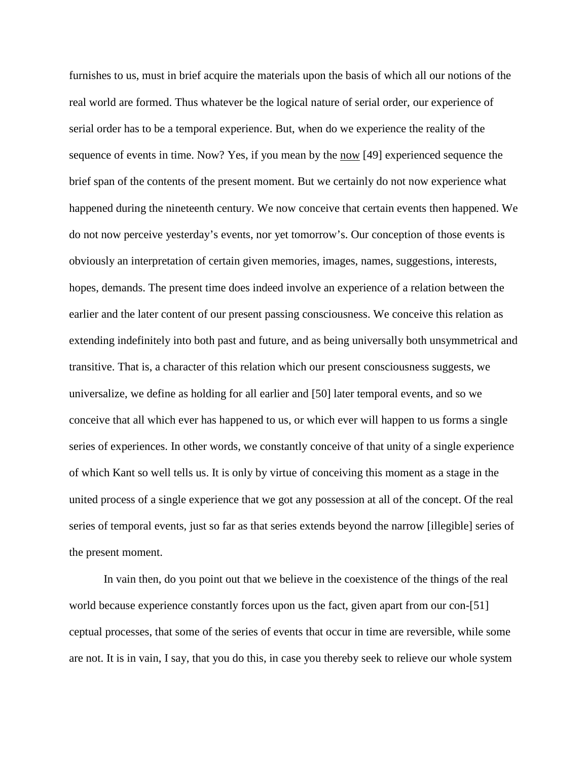furnishes to us, must in brief acquire the materials upon the basis of which all our notions of the real world are formed. Thus whatever be the logical nature of serial order, our experience of serial order has to be a temporal experience. But, when do we experience the reality of the sequence of events in time. Now? Yes, if you mean by the now [49] experienced sequence the brief span of the contents of the present moment. But we certainly do not now experience what happened during the nineteenth century. We now conceive that certain events then happened. We do not now perceive yesterday's events, nor yet tomorrow's. Our conception of those events is obviously an interpretation of certain given memories, images, names, suggestions, interests, hopes, demands. The present time does indeed involve an experience of a relation between the earlier and the later content of our present passing consciousness. We conceive this relation as extending indefinitely into both past and future, and as being universally both unsymmetrical and transitive. That is, a character of this relation which our present consciousness suggests, we universalize, we define as holding for all earlier and [50] later temporal events, and so we conceive that all which ever has happened to us, or which ever will happen to us forms a single series of experiences. In other words, we constantly conceive of that unity of a single experience of which Kant so well tells us. It is only by virtue of conceiving this moment as a stage in the united process of a single experience that we got any possession at all of the concept. Of the real series of temporal events, just so far as that series extends beyond the narrow [illegible] series of the present moment.

In vain then, do you point out that we believe in the coexistence of the things of the real world because experience constantly forces upon us the fact, given apart from our con-[51] ceptual processes, that some of the series of events that occur in time are reversible, while some are not. It is in vain, I say, that you do this, in case you thereby seek to relieve our whole system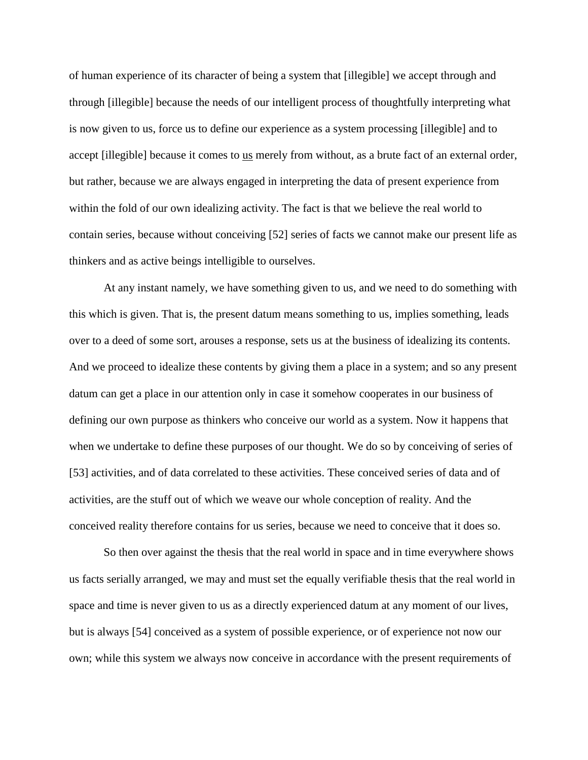of human experience of its character of being a system that [illegible] we accept through and through [illegible] because the needs of our intelligent process of thoughtfully interpreting what is now given to us, force us to define our experience as a system processing [illegible] and to accept [illegible] because it comes to us merely from without, as a brute fact of an external order, but rather, because we are always engaged in interpreting the data of present experience from within the fold of our own idealizing activity. The fact is that we believe the real world to contain series, because without conceiving [52] series of facts we cannot make our present life as thinkers and as active beings intelligible to ourselves.

At any instant namely, we have something given to us, and we need to do something with this which is given. That is, the present datum means something to us, implies something, leads over to a deed of some sort, arouses a response, sets us at the business of idealizing its contents. And we proceed to idealize these contents by giving them a place in a system; and so any present datum can get a place in our attention only in case it somehow cooperates in our business of defining our own purpose as thinkers who conceive our world as a system. Now it happens that when we undertake to define these purposes of our thought. We do so by conceiving of series of [53] activities, and of data correlated to these activities. These conceived series of data and of activities, are the stuff out of which we weave our whole conception of reality. And the conceived reality therefore contains for us series, because we need to conceive that it does so.

So then over against the thesis that the real world in space and in time everywhere shows us facts serially arranged, we may and must set the equally verifiable thesis that the real world in space and time is never given to us as a directly experienced datum at any moment of our lives, but is always [54] conceived as a system of possible experience, or of experience not now our own; while this system we always now conceive in accordance with the present requirements of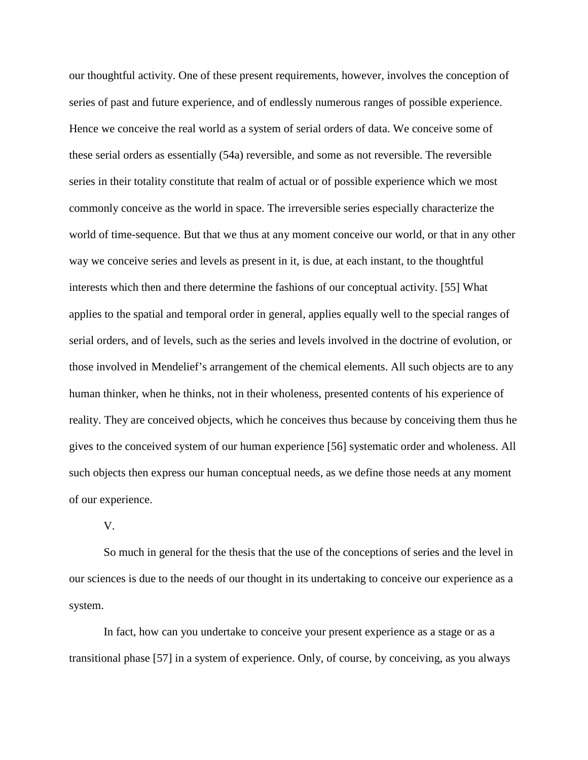our thoughtful activity. One of these present requirements, however, involves the conception of series of past and future experience, and of endlessly numerous ranges of possible experience. Hence we conceive the real world as a system of serial orders of data. We conceive some of these serial orders as essentially (54a) reversible, and some as not reversible. The reversible series in their totality constitute that realm of actual or of possible experience which we most commonly conceive as the world in space. The irreversible series especially characterize the world of time-sequence. But that we thus at any moment conceive our world, or that in any other way we conceive series and levels as present in it, is due, at each instant, to the thoughtful interests which then and there determine the fashions of our conceptual activity. [55] What applies to the spatial and temporal order in general, applies equally well to the special ranges of serial orders, and of levels, such as the series and levels involved in the doctrine of evolution, or those involved in Mendelief's arrangement of the chemical elements. All such objects are to any human thinker, when he thinks, not in their wholeness, presented contents of his experience of reality. They are conceived objects, which he conceives thus because by conceiving them thus he gives to the conceived system of our human experience [56] systematic order and wholeness. All such objects then express our human conceptual needs, as we define those needs at any moment of our experience.

V.

So much in general for the thesis that the use of the conceptions of series and the level in our sciences is due to the needs of our thought in its undertaking to conceive our experience as a system.

In fact, how can you undertake to conceive your present experience as a stage or as a transitional phase [57] in a system of experience. Only, of course, by conceiving, as you always